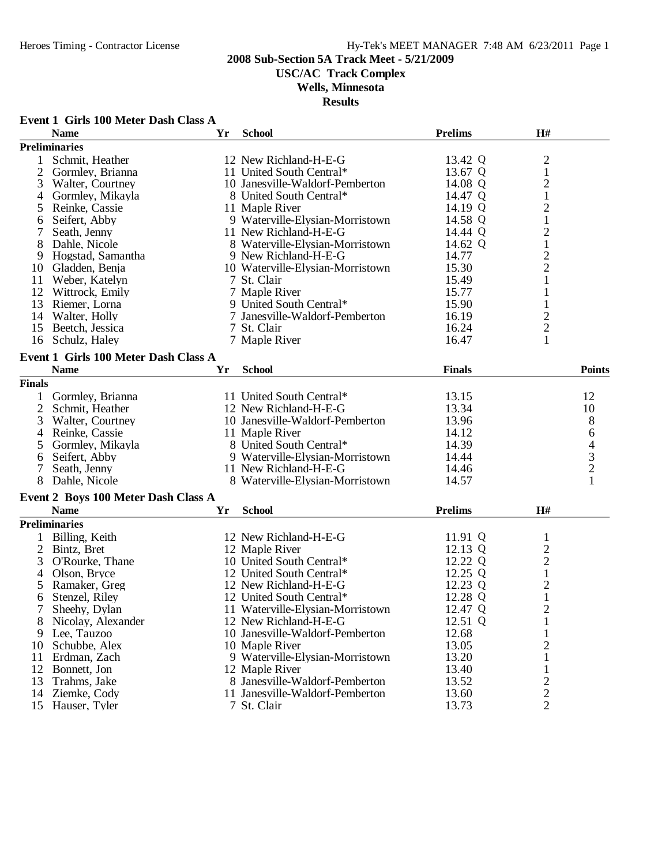**USC/AC Track Complex**

### **Wells, Minnesota**

|                | Event 1 Girls 100 Meter Dash Class A |    |                                  |                |                         |               |
|----------------|--------------------------------------|----|----------------------------------|----------------|-------------------------|---------------|
|                | <b>Name</b>                          | Yr | <b>School</b>                    | <b>Prelims</b> | H#                      |               |
|                | <b>Preliminaries</b>                 |    |                                  |                |                         |               |
|                | Schmit, Heather                      |    | 12 New Richland-H-E-G            | 13.42 Q        | $\overline{c}$          |               |
| $\overline{c}$ | Gormley, Brianna                     |    | 11 United South Central*         | 13.67 Q        | $\,1$                   |               |
| 3              | Walter, Courtney                     |    | 10 Janesville-Waldorf-Pemberton  | 14.08 Q        |                         |               |
| 4              | Gormley, Mikayla                     |    | 8 United South Central*          | 14.47 Q        | $\frac{2}{1}$           |               |
| 5              | Reinke, Cassie                       |    | 11 Maple River                   | 14.19 Q        | $\overline{c}$          |               |
| 6              | Seifert, Abby                        |    | 9 Waterville-Elysian-Morristown  | 14.58 Q        | $\mathbf{1}$            |               |
| 7              | Seath, Jenny                         |    | 11 New Richland-H-E-G            | 14.44 Q        | $\overline{c}$          |               |
| 8              | Dahle, Nicole                        |    | 8 Waterville-Elysian-Morristown  | 14.62 Q        | $\,1$                   |               |
| 9              | Hogstad, Samantha                    |    | 9 New Richland-H-E-G             | 14.77          |                         |               |
| 10             | Gladden, Benja                       |    | 10 Waterville-Elysian-Morristown | 15.30          | $\frac{2}{2}$           |               |
| 11             | Weber, Katelyn                       |    | 7 St. Clair                      | 15.49          | $\mathbf{1}$            |               |
| 12             | Wittrock, Emily                      |    | 7 Maple River                    | 15.77          | 1                       |               |
| 13             | Riemer, Lorna                        |    | 9 United South Central*          | 15.90          | $\mathbf{1}$            |               |
| 14             | Walter, Holly                        |    | 7 Janesville-Waldorf-Pemberton   | 16.19          | $\overline{\mathbf{c}}$ |               |
| 15             | Beetch, Jessica                      |    | 7 St. Clair                      | 16.24          | $\overline{c}$          |               |
|                | 16 Schulz, Haley                     |    | 7 Maple River                    | 16.47          | $\mathbf{1}$            |               |
|                |                                      |    |                                  |                |                         |               |
|                | Event 1 Girls 100 Meter Dash Class A |    |                                  |                |                         |               |
|                | <b>Name</b>                          | Yr | <b>School</b>                    | <b>Finals</b>  |                         | <b>Points</b> |
| <b>Finals</b>  |                                      |    |                                  |                |                         |               |
| 1              | Gormley, Brianna                     |    | 11 United South Central*         | 13.15          |                         | 12            |
| $\overline{2}$ | Schmit, Heather                      |    | 12 New Richland-H-E-G            | 13.34          |                         | 10            |
| 3              | Walter, Courtney                     |    | 10 Janesville-Waldorf-Pemberton  | 13.96          |                         | 8             |
| 4              | Reinke, Cassie                       |    | 11 Maple River                   | 14.12          |                         |               |
| 5              | Gormley, Mikayla                     |    | 8 United South Central*          | 14.39          |                         | 64321         |
| 6              | Seifert, Abby                        |    | 9 Waterville-Elysian-Morristown  | 14.44          |                         |               |
|                | Seath, Jenny                         |    | 11 New Richland-H-E-G            | 14.46          |                         |               |
| 8              | Dahle, Nicole                        |    | 8 Waterville-Elysian-Morristown  | 14.57          |                         |               |
|                | Event 2 Boys 100 Meter Dash Class A  |    |                                  |                |                         |               |
|                | <b>Name</b>                          | Yr | <b>School</b>                    | <b>Prelims</b> | H#                      |               |
|                |                                      |    |                                  |                |                         |               |
|                | <b>Preliminaries</b>                 |    |                                  |                |                         |               |
|                | 1 Billing, Keith                     |    | 12 New Richland-H-E-G            | 11.91 Q        | $\mathbf{1}$            |               |
| $\overline{2}$ | Bintz, Bret                          |    | 12 Maple River                   | 12.13 Q        | $\frac{2}{2}$           |               |
| 3              | O'Rourke, Thane                      |    | 10 United South Central*         | 12.22 Q        |                         |               |
| 4              | Olson, Bryce                         |    | 12 United South Central*         | 12.25 Q        | $\,1$                   |               |
| 5              | Ramaker, Greg                        |    | 12 New Richland-H-E-G            | 12.23 Q        | $\overline{c}$          |               |
| 6              | Stenzel, Riley                       |    | 12 United South Central*         | 12.28 Q        | $\mathbf{1}$            |               |
| 7              | Sheehy, Dylan                        |    | 11 Waterville-Elysian-Morristown | 12.47 Q        | $\overline{c}$          |               |
| 8              | Nicolay, Alexander                   |    | 12 New Richland-H-E-G            | 12.51 Q        | 1                       |               |
| 9              | Lee, Tauzoo                          |    | 10 Janesville-Waldorf-Pemberton  | 12.68          | 1                       |               |
| 10             | Schubbe, Alex                        |    | 10 Maple River                   | 13.05          | $\overline{c}$          |               |
| 11             | Erdman, Zach                         |    | 9 Waterville-Elysian-Morristown  | 13.20          | $\mathbf{1}$            |               |
| 12             | Bonnett, Jon                         |    | 12 Maple River                   | 13.40          | 1                       |               |
| 13             | Trahms, Jake                         |    | 8 Janesville-Waldorf-Pemberton   | 13.52          | $\frac{2}{2}$           |               |
| 14             | Ziemke, Cody                         |    | 11 Janesville-Waldorf-Pemberton  | 13.60          |                         |               |
| 15             | Hauser, Tyler                        |    | 7 St. Clair                      | 13.73          | 2                       |               |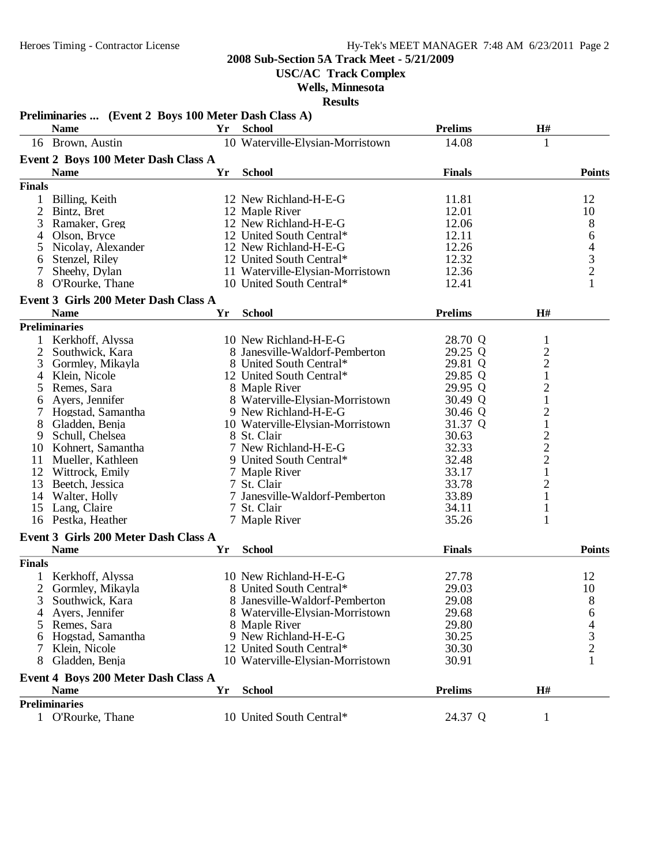**USC/AC Track Complex**

**Wells, Minnesota**

|                | Preliminaries  (Event 2 Boys 100 Meter Dash Class A) |    |                                  |                |                |                                            |
|----------------|------------------------------------------------------|----|----------------------------------|----------------|----------------|--------------------------------------------|
|                | <b>Name</b>                                          | Yr | <b>School</b>                    | <b>Prelims</b> | H#             |                                            |
|                | 16 Brown, Austin                                     |    | 10 Waterville-Elysian-Morristown | 14.08          | $\mathbf{1}$   |                                            |
|                | Event 2 Boys 100 Meter Dash Class A                  |    |                                  |                |                |                                            |
|                | <b>Name</b>                                          | Yr | <b>School</b>                    | <b>Finals</b>  |                | <b>Points</b>                              |
| <b>Finals</b>  |                                                      |    |                                  |                |                |                                            |
| 1              | Billing, Keith                                       |    | 12 New Richland-H-E-G            | 11.81          |                | 12                                         |
| $\mathbf{2}$   | Bintz, Bret                                          |    | 12 Maple River                   | 12.01          |                | 10                                         |
| 3              | Ramaker, Greg                                        |    | 12 New Richland-H-E-G            | 12.06          |                |                                            |
| 4              | Olson, Bryce                                         |    | 12 United South Central*         | 12.11          |                | $\begin{array}{c} 8 \\ 6 \end{array}$      |
| 5              | Nicolay, Alexander                                   |    | 12 New Richland-H-E-G            | 12.26          |                |                                            |
| 6              | Stenzel, Riley                                       |    | 12 United South Central*         | 12.32          |                | $\begin{array}{c} 4 \\ 3 \\ 2 \end{array}$ |
| 7              | Sheehy, Dylan                                        |    | 11 Waterville-Elysian-Morristown | 12.36          |                |                                            |
| 8              | O'Rourke, Thane                                      |    | 10 United South Central*         | 12.41          |                | $\mathbf{1}$                               |
|                | Event 3 Girls 200 Meter Dash Class A                 |    |                                  |                |                |                                            |
|                | <b>Name</b>                                          | Yr | <b>School</b>                    | <b>Prelims</b> | H#             |                                            |
|                | <b>Preliminaries</b>                                 |    |                                  |                |                |                                            |
|                |                                                      |    |                                  |                |                |                                            |
|                | Kerkhoff, Alyssa                                     |    | 10 New Richland-H-E-G            | 28.70 Q        | 1              |                                            |
| 2              | Southwick, Kara                                      |    | 8 Janesville-Waldorf-Pemberton   | 29.25 Q        | $\overline{c}$ |                                            |
| 3              | Gormley, Mikayla                                     |    | 8 United South Central*          | 29.81 Q        | $\overline{c}$ |                                            |
| $\overline{4}$ | Klein, Nicole                                        |    | 12 United South Central*         | 29.85 Q        | $\mathbf 1$    |                                            |
| 5              | Remes, Sara                                          |    | 8 Maple River                    | 29.95 Q        | $\overline{c}$ |                                            |
| 6              | Ayers, Jennifer                                      |    | 8 Waterville-Elysian-Morristown  | 30.49 Q        | $\mathbf{1}$   |                                            |
| 7              | Hogstad, Samantha                                    |    | 9 New Richland-H-E-G             | 30.46 Q        | $\overline{c}$ |                                            |
| 8              | Gladden, Benja                                       |    | 10 Waterville-Elysian-Morristown | 31.37 Q        | $\mathbf{1}$   |                                            |
| 9              | Schull, Chelsea                                      |    | 8 St. Clair                      | 30.63          | $\overline{c}$ |                                            |
|                | 10 Kohnert, Samantha                                 |    | 7 New Richland-H-E-G             | 32.33          | $\overline{c}$ |                                            |
| 11             | Mueller, Kathleen                                    |    | 9 United South Central*          | 32.48          | $\overline{c}$ |                                            |
|                | 12 Wittrock, Emily                                   |    | 7 Maple River                    | 33.17          | $\mathbf{1}$   |                                            |
| 13             | Beetch, Jessica                                      |    | 7 St. Clair                      | 33.78          | $\overline{2}$ |                                            |
| 14             | Walter, Holly                                        |    | 7 Janesville-Waldorf-Pemberton   | 33.89          | 1              |                                            |
| 15             | Lang, Claire                                         |    | 7 St. Clair                      | 34.11          | $\mathbf{1}$   |                                            |
|                | 16 Pestka, Heather                                   |    | 7 Maple River                    | 35.26          | 1              |                                            |
|                | Event 3 Girls 200 Meter Dash Class A                 |    |                                  |                |                |                                            |
|                | <b>Name</b>                                          | Yr | <b>School</b>                    | <b>Finals</b>  |                | <b>Points</b>                              |
| <b>Finals</b>  |                                                      |    |                                  |                |                |                                            |
|                | Kerkhoff, Alyssa                                     |    | 10 New Richland-H-E-G            | 27.78          |                | 12                                         |
| 2              | Gormley, Mikayla                                     |    | 8 United South Central*          | 29.03          |                | 10                                         |
| J.             | Southwick, Kara                                      |    | 8 Janesville-Waldorf-Pemberton   | 29.08          |                | 8                                          |
| 4              | Ayers, Jennifer                                      |    | 8 Waterville-Elysian-Morristown  | 29.68          |                | 6                                          |
| 5.             | Remes, Sara                                          |    | 8 Maple River                    | 29.80          |                |                                            |
| 6              | Hogstad, Samantha                                    |    | 9 New Richland-H-E-G             | 30.25          |                | $\frac{4}{3}$                              |
| 7              | Klein, Nicole                                        |    | 12 United South Central*         | 30.30          |                |                                            |
| 8              | Gladden, Benja                                       |    | 10 Waterville-Elysian-Morristown | 30.91          |                |                                            |
|                |                                                      |    |                                  |                |                |                                            |
|                | Event 4 Boys 200 Meter Dash Class A<br><b>Name</b>   | Yr | <b>School</b>                    | <b>Prelims</b> | H#             |                                            |
|                |                                                      |    |                                  |                |                |                                            |
|                | <b>Preliminaries</b>                                 |    |                                  |                |                |                                            |
|                | 1 O'Rourke, Thane                                    |    | 10 United South Central*         | 24.37 Q        | $\mathbf{1}$   |                                            |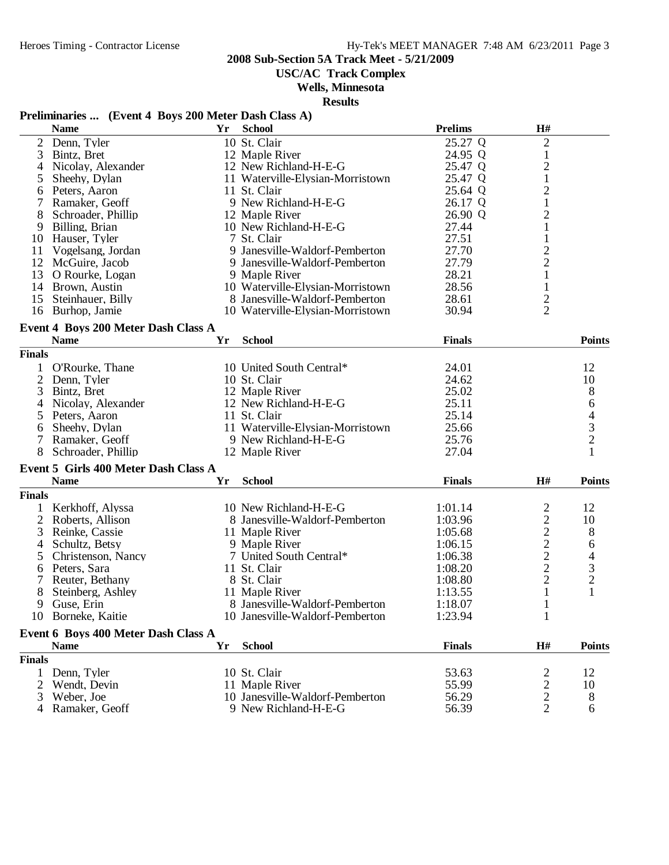**USC/AC Track Complex**

### **Wells, Minnesota**

**Results**

# **Preliminaries ... (Event 4 Boys 200 Meter Dash Class A)**

|                | <b>Name</b>                          | Yr | <b>School</b>                           | <b>Prelims</b> | $\mathbf{H}$ #                 |                |
|----------------|--------------------------------------|----|-----------------------------------------|----------------|--------------------------------|----------------|
| $\overline{2}$ | Denn, Tyler                          |    | 10 St. Clair                            | 25.27 Q        | $\sqrt{2}$                     |                |
| 3              | Bintz, Bret                          |    | 12 Maple River                          | 24.95 Q        | $\mathbf{1}$                   |                |
| 4              | Nicolay, Alexander                   |    | 12 New Richland-H-E-G                   | 25.47 Q        | $\overline{c}$                 |                |
| 5              | Sheehy, Dylan                        |    | 11 Waterville-Elysian-Morristown        | 25.47 Q        | $\mathbf{1}$                   |                |
| 6              | Peters, Aaron                        |    | 11 St. Clair                            | 25.64 Q        | $\overline{c}$                 |                |
|                | Ramaker, Geoff                       |    | 9 New Richland-H-E-G                    | 26.17 Q        | $\mathbf{1}$                   |                |
| 8              | Schroader, Phillip                   |    | 12 Maple River                          | 26.90 Q        | $\overline{c}$                 |                |
| 9              | Billing, Brian                       |    | 10 New Richland-H-E-G                   | 27.44          | $\mathbf 1$                    |                |
| 10             | Hauser, Tyler                        |    | 7 St. Clair                             | 27.51          | $\mathbf{1}$                   |                |
| 11             | Vogelsang, Jordan                    |    | 9 Janesville-Waldorf-Pemberton          | 27.70          |                                |                |
|                | 12 McGuire, Jacob                    |    | 9 Janesville-Waldorf-Pemberton          | 27.79          | $\frac{2}{2}$                  |                |
| 13             | O Rourke, Logan                      |    | 9 Maple River                           | 28.21          | $\mathbf{1}$                   |                |
| 14             | Brown, Austin                        |    | 10 Waterville-Elysian-Morristown        | 28.56          | $\mathbf{1}$                   |                |
| 15             | Steinhauer, Billy                    |    | 8 Janesville-Waldorf-Pemberton          | 28.61          | $\overline{c}$                 |                |
|                | 16 Burhop, Jamie                     |    | 10 Waterville-Elysian-Morristown        | 30.94          | $\overline{2}$                 |                |
|                |                                      |    |                                         |                |                                |                |
|                | Event 4 Boys 200 Meter Dash Class A  |    |                                         |                |                                |                |
|                | <b>Name</b>                          | Yr | <b>School</b>                           | <b>Finals</b>  |                                | <b>Points</b>  |
| <b>Finals</b>  |                                      |    |                                         |                |                                |                |
| $\mathbf{1}$   | O'Rourke, Thane                      |    | 10 United South Central*                | 24.01          |                                | 12             |
| 2              | Denn, Tyler                          |    | 10 St. Clair                            | 24.62          |                                | 10             |
| 3              | Bintz, Bret                          |    | 12 Maple River                          | 25.02          |                                | 8              |
| 4              | Nicolay, Alexander                   |    | 12 New Richland-H-E-G                   | 25.11          |                                | 6              |
| 5              | Peters, Aaron                        |    | 11 St. Clair                            | 25.14          |                                |                |
| 6              | Sheehy, Dylan                        |    | 11 Waterville-Elysian-Morristown        | 25.66          |                                |                |
| 7              | Ramaker, Geoff                       |    | 9 New Richland-H-E-G                    | 25.76          |                                | $\frac{4}{3}$  |
|                | Schroader, Phillip                   |    | 12 Maple River                          | 27.04          |                                | 1              |
|                | Event 5 Girls 400 Meter Dash Class A |    |                                         |                |                                |                |
|                | <b>Name</b>                          | Yr | <b>School</b>                           | <b>Finals</b>  | H#                             | <b>Points</b>  |
| <b>Finals</b>  |                                      |    |                                         |                |                                |                |
| 1              | Kerkhoff, Alyssa                     |    | 10 New Richland-H-E-G                   | 1:01.14        | 2                              | 12             |
| $\overline{2}$ | Roberts, Allison                     |    | 8 Janesville-Waldorf-Pemberton          | 1:03.96        |                                | 10             |
| 3              | Reinke, Cassie                       |    | 11 Maple River                          | 1:05.68        | $\frac{2}{2}$<br>$\frac{2}{2}$ | 8              |
|                | Schultz, Betsy                       |    | 9 Maple River                           | 1:06.15        |                                |                |
| 4              |                                      |    |                                         |                |                                | 6              |
| 5              | Christenson, Nancy                   |    | 7 United South Central*<br>11 St. Clair | 1:06.38        |                                | 4              |
| 6              | Peters, Sara                         |    |                                         | 1:08.20        |                                | $\mathfrak{Z}$ |
| 7              | Reuter, Bethany                      |    | 8 St. Clair                             | 1:08.80        | $\overline{c}$                 | $\sqrt{2}$     |
| 8              | Steinberg, Ashley                    |    | 11 Maple River                          | 1:13.55        | $\mathbf{1}$                   | $\mathbf{1}$   |
| 9              | Guse, Erin                           |    | 8 Janesville-Waldorf-Pemberton          | 1:18.07        | $\mathbf{1}$                   |                |
|                | 10 Borneke, Kaitie                   |    | 10 Janesville-Waldorf-Pemberton         | 1:23.94        | 1                              |                |
|                | Event 6 Boys 400 Meter Dash Class A  |    |                                         |                |                                |                |
|                | <b>Name</b>                          | Yr | <b>School</b>                           | <b>Finals</b>  | $\mathbf{H}$ #                 | <b>Points</b>  |
| <b>Finals</b>  |                                      |    |                                         |                |                                |                |
| 1              | Denn, Tyler                          |    | 10 St. Clair                            | 53.63          | 2                              | 12             |
| 2              | Wendt, Devin                         |    | 11 Maple River                          | 55.99          | $\overline{\mathbf{c}}$        | 10             |
| 3              | Weber, Joe                           |    | 10 Janesville-Waldorf-Pemberton         | 56.29          | $\overline{\mathbf{c}}$        | 8              |
| 4              | Ramaker, Geoff                       |    | 9 New Richland-H-E-G                    | 56.39          | $\overline{2}$                 | 6              |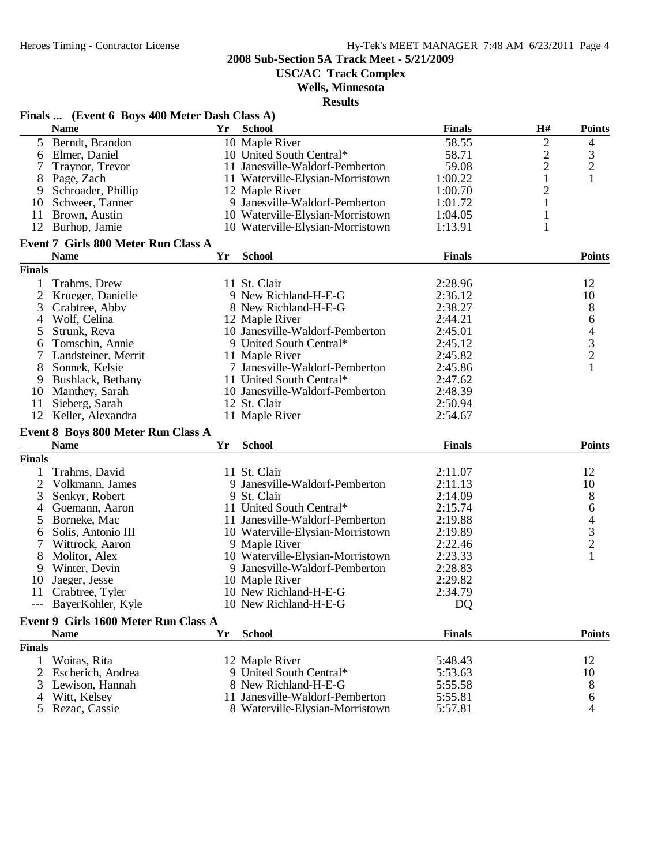**USC/AC Track Complex**

### **Wells, Minnesota**

|                | Finals  (Event 6 Boys 400 Meter Dash Class A) |           | results                          |               |                |                                            |
|----------------|-----------------------------------------------|-----------|----------------------------------|---------------|----------------|--------------------------------------------|
|                | <b>Name</b>                                   | <b>Yr</b> | <b>School</b>                    | <b>Finals</b> | H#             | <b>Points</b>                              |
| 5              | Berndt, Brandon                               |           | 10 Maple River                   | 58.55         | $\mathbf{2}$   | 4                                          |
| 6              | Elmer, Daniel                                 |           | 10 United South Central*         | 58.71         | $\overline{c}$ |                                            |
| 7              | Traynor, Trevor                               |           | 11 Janesville-Waldorf-Pemberton  | 59.08         | $\overline{c}$ | $\frac{3}{2}$                              |
| 8              | Page, Zach                                    |           | 11 Waterville-Elysian-Morristown | 1:00.22       | $\mathbf{1}$   |                                            |
| 9              | Schroader, Phillip                            |           | 12 Maple River                   | 1:00.70       | $\overline{2}$ |                                            |
| 10             | Schweer, Tanner                               |           | 9 Janesville-Waldorf-Pemberton   | 1:01.72       | 1              |                                            |
| 11             | Brown, Austin                                 |           | 10 Waterville-Elysian-Morristown | 1:04.05       | $\mathbf{1}$   |                                            |
| 12             | Burhop, Jamie                                 |           | 10 Waterville-Elysian-Morristown | 1:13.91       | $\mathbf{1}$   |                                            |
|                | Event 7 Girls 800 Meter Run Class A           |           |                                  |               |                |                                            |
|                | <b>Name</b>                                   | Yr        | <b>School</b>                    | <b>Finals</b> |                | <b>Points</b>                              |
| <b>Finals</b>  |                                               |           |                                  |               |                |                                            |
| 1              | Trahms, Drew                                  |           | 11 St. Clair                     | 2:28.96       |                | 12                                         |
| 2              | Krueger, Danielle                             |           | 9 New Richland-H-E-G             | 2:36.12       |                | 10                                         |
| 3              | Crabtree, Abby                                |           | 8 New Richland-H-E-G             | 2:38.27       |                | 8                                          |
| 4              | Wolf, Celina                                  |           | 12 Maple River                   | 2:44.21       |                | 6                                          |
| 5              | Strunk, Reva                                  |           | 10 Janesville-Waldorf-Pemberton  | 2:45.01       |                |                                            |
| 6              | Tomschin, Annie                               |           | 9 United South Central*          | 2:45.12       |                | $\begin{array}{c} 4 \\ 3 \\ 2 \end{array}$ |
| 7              | Landsteiner, Merrit                           |           | 11 Maple River                   | 2:45.82       |                |                                            |
| 8              | Sonnek, Kelsie                                |           | 7 Janesville-Waldorf-Pemberton   | 2:45.86       |                | $\mathbf{1}$                               |
| 9              | Bushlack, Bethany                             |           | 11 United South Central*         | 2:47.62       |                |                                            |
| 10             | Manthey, Sarah                                |           | 10 Janesville-Waldorf-Pemberton  | 2:48.39       |                |                                            |
| 11             | Sieberg, Sarah                                |           | 12 St. Clair                     | 2:50.94       |                |                                            |
| 12             | Keller, Alexandra                             |           | 11 Maple River                   | 2:54.67       |                |                                            |
|                | Event 8 Boys 800 Meter Run Class A            |           |                                  |               |                |                                            |
|                | <b>Name</b>                                   | Yr        | <b>School</b>                    | <b>Finals</b> |                | <b>Points</b>                              |
| <b>Finals</b>  |                                               |           |                                  |               |                |                                            |
|                | Trahms, David                                 |           | 11 St. Clair                     | 2:11.07       |                | 12                                         |
| $\overline{c}$ | Volkmann, James                               |           | 9 Janesville-Waldorf-Pemberton   | 2:11.13       |                | 10                                         |
| 3              | Senkyr, Robert                                |           | 9 St. Clair                      | 2:14.09       |                | 8                                          |
| 4              | Goemann, Aaron                                |           | 11 United South Central*         | 2:15.74       |                |                                            |
| 5              | Borneke, Mac                                  |           | 11 Janesville-Waldorf-Pemberton  | 2:19.88       |                | $64$<br>3<br>2                             |
| 6              | Solis, Antonio III                            |           | 10 Waterville-Elysian-Morristown | 2:19.89       |                |                                            |
|                | Wittrock, Aaron                               |           | 9 Maple River                    | 2:22.46       |                |                                            |
| 8              | Molitor, Alex                                 |           | 10 Waterville-Elysian-Morristown | 2:23.33       |                | $\mathbf{1}$                               |
| 9              | Winter, Devin                                 |           | 9 Janesville-Waldorf-Pemberton   | 2:28.83       |                |                                            |
| 10             | Jaeger, Jesse                                 |           | 10 Maple River                   | 2:29.82       |                |                                            |
|                | 11 Crabtree, Tyler                            |           | 10 New Richland-H-E-G            | 2:34.79       |                |                                            |
|                | --- BayerKohler, Kyle                         |           | 10 New Richland-H-E-G            | DQ            |                |                                            |
|                | Event 9 Girls 1600 Meter Run Class A          |           |                                  |               |                |                                            |
|                | <b>Name</b>                                   | Yr        | <b>School</b>                    | <b>Finals</b> |                | <b>Points</b>                              |
| <b>Finals</b>  |                                               |           |                                  |               |                |                                            |
|                | Woitas, Rita                                  |           | 12 Maple River                   | 5:48.43       |                | 12                                         |
| 2              | Escherich, Andrea                             |           | 9 United South Central*          | 5:53.63       |                | 10                                         |
| 3              | Lewison, Hannah                               |           | 8 New Richland-H-E-G             | 5:55.58       |                | 8                                          |
| 4              | Witt, Kelsey                                  |           | 11 Janesville-Waldorf-Pemberton  | 5:55.81       |                | 6                                          |
| 5              | Rezac, Cassie                                 |           | 8 Waterville-Elysian-Morristown  | 5:57.81       |                | 4                                          |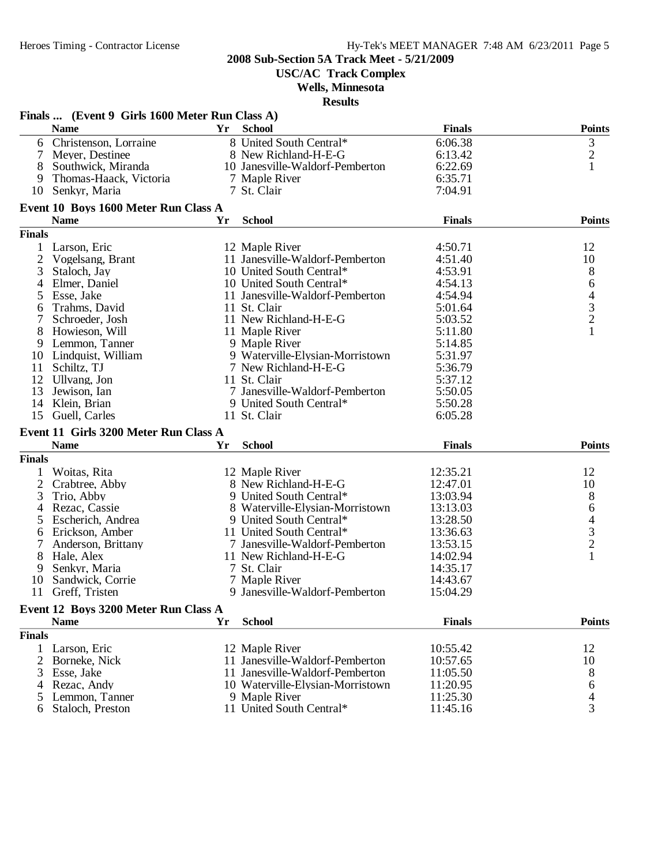**USC/AC Track Complex**

### **Wells, Minnesota**

|                | Finals  (Event 9 Girls 1600 Meter Run Class A) |    |                                  |               |                                            |
|----------------|------------------------------------------------|----|----------------------------------|---------------|--------------------------------------------|
|                | <b>Name</b>                                    | Yr | <b>School</b>                    | <b>Finals</b> | <b>Points</b>                              |
| 6              | Christenson, Lorraine                          |    | 8 United South Central*          | 6:06.38       |                                            |
| 7              | Meyer, Destinee                                |    | 8 New Richland-H-E-G             | 6:13.42       | $\begin{array}{c} 3 \\ 2 \\ 1 \end{array}$ |
|                | Southwick, Miranda                             |    | 10 Janesville-Waldorf-Pemberton  | 6:22.69       |                                            |
| 9              | Thomas-Haack, Victoria                         |    | 7 Maple River                    | 6:35.71       |                                            |
| 10             | Senkyr, Maria                                  |    | 7 St. Clair                      | 7:04.91       |                                            |
|                | Event 10 Boys 1600 Meter Run Class A           |    |                                  |               |                                            |
|                | <b>Name</b>                                    | Yr | <b>School</b>                    | <b>Finals</b> | <b>Points</b>                              |
| <b>Finals</b>  |                                                |    |                                  |               |                                            |
|                | Larson, Eric                                   |    | 12 Maple River                   | 4:50.71       | 12                                         |
| $\overline{2}$ | Vogelsang, Brant                               |    | 11 Janesville-Waldorf-Pemberton  | 4:51.40       | 10                                         |
| 3              | Staloch, Jay                                   |    | 10 United South Central*         | 4:53.91       | 8                                          |
| 4              | Elmer, Daniel                                  |    | 10 United South Central*         | 4:54.13       | 6                                          |
|                | Esse, Jake                                     |    | 11 Janesville-Waldorf-Pemberton  | 4:54.94       |                                            |
| 5              | Trahms, David                                  |    | 11 St. Clair                     | 5:01.64       | $\begin{array}{c} 4 \\ 3 \\ 2 \end{array}$ |
| 6              |                                                |    |                                  |               |                                            |
|                | Schroeder, Josh                                |    | 11 New Richland-H-E-G            | 5:03.52       | $\mathbf{1}$                               |
| 8              | Howieson, Will                                 |    | 11 Maple River                   | 5:11.80       |                                            |
| 9              | Lemmon, Tanner                                 |    | 9 Maple River                    | 5:14.85       |                                            |
| 10             | Lindquist, William                             |    | 9 Waterville-Elysian-Morristown  | 5:31.97       |                                            |
| 11             | Schiltz, TJ                                    |    | 7 New Richland-H-E-G             | 5:36.79       |                                            |
| 12             | Ullvang, Jon                                   |    | 11 St. Clair                     | 5:37.12       |                                            |
| 13             | Jewison, Ian                                   |    | 7 Janesville-Waldorf-Pemberton   | 5:50.05       |                                            |
| 14             | Klein, Brian                                   |    | 9 United South Central*          | 5:50.28       |                                            |
| 15             | Guell, Carles                                  |    | 11 St. Clair                     | 6:05.28       |                                            |
|                | Event 11 Girls 3200 Meter Run Class A          |    |                                  |               |                                            |
|                | <b>Name</b>                                    | Yr | <b>School</b>                    | <b>Finals</b> | <b>Points</b>                              |
| <b>Finals</b>  |                                                |    |                                  |               |                                            |
| 1              | Woitas, Rita                                   |    | 12 Maple River                   | 12:35.21      | 12                                         |
| $\overline{2}$ | Crabtree, Abby                                 |    | 8 New Richland-H-E-G             | 12:47.01      | 10                                         |
| 3              | Trio, Abby                                     |    | 9 United South Central*          | 13:03.94      | 8                                          |
| 4              | Rezac, Cassie                                  |    | 8 Waterville-Elysian-Morristown  | 13:13.03      |                                            |
| 5              | Escherich, Andrea                              |    | 9 United South Central*          | 13:28.50      |                                            |
| 6              | Erickson, Amber                                |    | 11 United South Central*         | 13:36.63      |                                            |
| 7              | Anderson, Brittany                             |    | 7 Janesville-Waldorf-Pemberton   | 13:53.15      | $64$<br>3<br>2                             |
| 8              | Hale, Alex                                     |    | 11 New Richland-H-E-G            | 14:02.94      | $\mathbf{1}$                               |
| 9              | Senkyr, Maria                                  |    | 7 St. Clair                      | 14:35.17      |                                            |
| 10             | Sandwick, Corrie                               |    | 7 Maple River                    | 14:43.67      |                                            |
| 11             | Greff, Tristen                                 |    | 9 Janesville-Waldorf-Pemberton   | 15:04.29      |                                            |
|                | Event 12 Boys 3200 Meter Run Class A           |    |                                  |               |                                            |
|                | <b>Name</b>                                    | Yr | <b>School</b>                    | <b>Finals</b> | <b>Points</b>                              |
| <b>Finals</b>  |                                                |    |                                  |               |                                            |
| 1              | Larson, Eric                                   |    | 12 Maple River                   | 10:55.42      | 12                                         |
| 2              | Borneke, Nick                                  |    | 11 Janesville-Waldorf-Pemberton  | 10:57.65      | 10                                         |
| 3              | Esse, Jake                                     |    | 11 Janesville-Waldorf-Pemberton  | 11:05.50      | 8                                          |
| 4              | Rezac, Andy                                    |    | 10 Waterville-Elysian-Morristown | 11:20.95      | 6                                          |
| $\mathcal{L}$  | Lemmon, Tanner                                 |    | 9 Maple River                    | 11:25.30      | $\overline{\mathcal{L}}$                   |
| 6              | Staloch, Preston                               |    | 11 United South Central*         | 11:45.16      | 3                                          |
|                |                                                |    |                                  |               |                                            |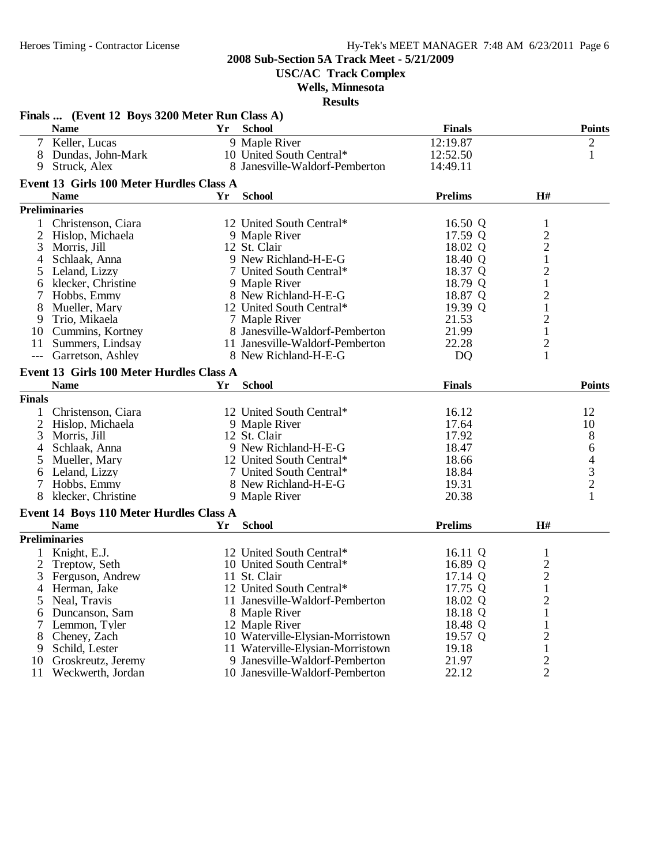**USC/AC Track Complex**

### **Wells, Minnesota**

|                | Finals  (Event 12 Boys 3200 Meter Run Class A) |    |                                  |                |                         |                                            |
|----------------|------------------------------------------------|----|----------------------------------|----------------|-------------------------|--------------------------------------------|
|                | <b>Name</b>                                    |    | Yr School                        | <b>Finals</b>  |                         | <b>Points</b>                              |
|                | 7 Keller, Lucas                                |    | 9 Maple River                    | 12:19.87       |                         | 2                                          |
|                | 8 Dundas, John-Mark                            |    | 10 United South Central*         | 12:52.50       |                         | $\mathbf{1}$                               |
| 9              | Struck, Alex                                   |    | 8 Janesville-Waldorf-Pemberton   | 14:49.11       |                         |                                            |
|                | Event 13 Girls 100 Meter Hurdles Class A       |    |                                  |                |                         |                                            |
|                | <b>Name</b>                                    | Yr | <b>School</b>                    | Prelims        | H#                      |                                            |
|                | <b>Preliminaries</b>                           |    |                                  |                |                         |                                            |
|                | Christenson, Ciara                             |    | 12 United South Central*         | 16.50 Q        | $\mathbf{1}$            |                                            |
| $\overline{2}$ | Hislop, Michaela                               |    | 9 Maple River                    | 17.59 Q        | $\frac{2}{2}$           |                                            |
| 3              | Morris, Jill                                   |    | 12 St. Clair                     | 18.02 Q        |                         |                                            |
| 4              | Schlaak, Anna                                  |    | 9 New Richland-H-E-G             | 18.40 Q        | $\,1\,$                 |                                            |
| 5              | Leland, Lizzy                                  |    | 7 United South Central*          | 18.37 Q        | $\overline{c}$          |                                            |
| 6              | klecker, Christine                             |    | 9 Maple River                    | 18.79 Q        | $\mathbf{1}$            |                                            |
|                | Hobbs, Emmy                                    |    | 8 New Richland-H-E-G             | 18.87 Q        | $\overline{\mathbf{c}}$ |                                            |
| 8              | Mueller, Mary                                  |    | 12 United South Central*         | 19.39 Q        | $\mathbf{1}$            |                                            |
| 9              | Trio, Mikaela                                  |    | 7 Maple River                    | 21.53          | $\overline{c}$          |                                            |
|                | 10 Cummins, Kortney                            |    | 8 Janesville-Waldorf-Pemberton   | 21.99          | $\mathbf 1$             |                                            |
|                | 11 Summers, Lindsay                            |    | 11 Janesville-Waldorf-Pemberton  | 22.28          | $\overline{\mathbf{c}}$ |                                            |
| $---$          | Garretson, Ashley                              |    | 8 New Richland-H-E-G             | D <sub>Q</sub> | $\mathbf{1}$            |                                            |
|                | Event 13 Girls 100 Meter Hurdles Class A       |    |                                  |                |                         |                                            |
|                | <b>Name</b>                                    | Yr | <b>School</b>                    | <b>Finals</b>  |                         | <b>Points</b>                              |
| <b>Finals</b>  |                                                |    |                                  |                |                         |                                            |
|                | Christenson, Ciara                             |    | 12 United South Central*         | 16.12          |                         | 12                                         |
|                |                                                |    |                                  |                |                         |                                            |
| 2              | Hislop, Michaela                               |    | 9 Maple River<br>12 St. Clair    | 17.64<br>17.92 |                         | 10                                         |
| 3              | Morris, Jill                                   |    | 9 New Richland-H-E-G             | 18.47          |                         | $\begin{array}{c} 8 \\ 6 \end{array}$      |
| 4              | Schlaak, Anna                                  |    |                                  |                |                         |                                            |
| 5              | Mueller, Mary                                  |    | 12 United South Central*         | 18.66          |                         | $\begin{array}{c} 4 \\ 3 \\ 2 \end{array}$ |
| 6              | Leland, Lizzy                                  |    | 7 United South Central*          | 18.84          |                         |                                            |
| 7              | Hobbs, Emmy                                    |    | 8 New Richland-H-E-G             | 19.31          |                         |                                            |
| 8              | klecker, Christine                             |    | 9 Maple River                    | 20.38          |                         | $\mathbf{1}$                               |
|                | Event 14 Boys 110 Meter Hurdles Class A        |    |                                  |                |                         |                                            |
|                | <b>Name</b>                                    | Yr | <b>School</b>                    | <b>Prelims</b> | H#                      |                                            |
|                | <b>Preliminaries</b>                           |    |                                  |                |                         |                                            |
| $\mathbf{1}$   | Knight, E.J.                                   |    | 12 United South Central*         | 16.11 Q        | $\mathbf{1}$            |                                            |
| 2              | Treptow, Seth                                  |    | 10 United South Central*         | 16.89 Q        | $\frac{2}{2}$           |                                            |
| 3              | Ferguson, Andrew                               |    | 11 St. Clair                     | 17.14 Q        |                         |                                            |
| $\overline{4}$ | Herman, Jake                                   |    | 12 United South Central*         | 17.75 Q        | $\mathbf{1}$            |                                            |
| 5              | Neal, Travis                                   |    | 11 Janesville-Waldorf-Pemberton  | 18.02 Q        | $\overline{\mathbf{c}}$ |                                            |
| 6              | Duncanson, Sam                                 |    | 8 Maple River                    | 18.18 Q        | $\mathbf{1}$            |                                            |
| 7              | Lemmon, Tyler                                  |    | 12 Maple River                   | 18.48 Q        | 1                       |                                            |
| 8              | Cheney, Zach                                   |    | 10 Waterville-Elysian-Morristown | 19.57 Q        | $\overline{c}$          |                                            |
| 9              | Schild, Lester                                 |    | 11 Waterville-Elysian-Morristown | 19.18          | $\mathbf 1$             |                                            |
| 10             | Groskreutz, Jeremy                             |    | 9 Janesville-Waldorf-Pemberton   | 21.97          | $\overline{c}$          |                                            |
| 11             | Weckwerth, Jordan                              |    | 10 Janesville-Waldorf-Pemberton  | 22.12          | $\overline{2}$          |                                            |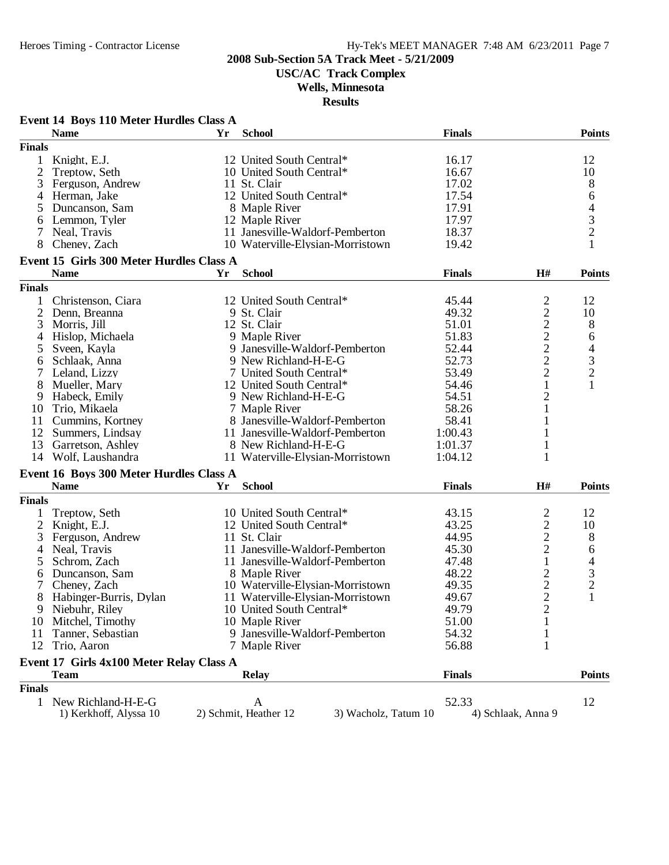**USC/AC Track Complex**

**Wells, Minnesota**

|                | Event 14 Boys 110 Meter Hurdles Class A                 |    |                                               |               |                    |                |
|----------------|---------------------------------------------------------|----|-----------------------------------------------|---------------|--------------------|----------------|
|                | <b>Name</b>                                             | Yr | <b>School</b>                                 | <b>Finals</b> |                    | <b>Points</b>  |
| <b>Finals</b>  |                                                         |    |                                               |               |                    |                |
| 1              | Knight, E.J.                                            |    | 12 United South Central*                      | 16.17         |                    | 12             |
| 2              | Treptow, Seth                                           |    | 10 United South Central*                      | 16.67         |                    | 10             |
| 3              | Ferguson, Andrew                                        |    | 11 St. Clair                                  | 17.02         |                    | 8              |
| 4              | Herman, Jake                                            |    | 12 United South Central*                      | 17.54         |                    | 6              |
| 5              | Duncanson, Sam                                          |    | 8 Maple River                                 | 17.91         |                    | 4              |
| 6              | Lemmon, Tyler                                           |    | 12 Maple River                                | 17.97         |                    | 3              |
|                | Neal, Travis                                            |    | 11 Janesville-Waldorf-Pemberton               | 18.37         |                    | $\overline{c}$ |
| 8              | Cheney, Zach                                            |    | 10 Waterville-Elysian-Morristown              | 19.42         |                    | $\mathbf{1}$   |
|                |                                                         |    |                                               |               |                    |                |
|                | Event 15 Girls 300 Meter Hurdles Class A<br><b>Name</b> | Yr | <b>School</b>                                 | <b>Finals</b> | H#                 | <b>Points</b>  |
| <b>Finals</b>  |                                                         |    |                                               |               |                    |                |
|                |                                                         |    |                                               |               |                    |                |
| 1              | Christenson, Ciara                                      |    | 12 United South Central*                      | 45.44         | 2                  | 12             |
| 2              | Denn, Breanna                                           |    | 9 St. Clair                                   | 49.32         | $\mathbf{2}$       | 10             |
| 3              | Morris, Jill                                            |    | 12 St. Clair                                  | 51.01         | $\frac{2}{2}$      | 8              |
| 4              | Hislop, Michaela                                        |    | 9 Maple River                                 | 51.83         |                    | 6              |
| 5              | Sveen, Kayla                                            |    | 9 Janesville-Waldorf-Pemberton                | 52.44         | $\frac{2}{2}$      | $\overline{4}$ |
| 6              | Schlaak, Anna                                           |    | 9 New Richland-H-E-G                          | 52.73         |                    | $\frac{3}{2}$  |
|                | Leland, Lizzy                                           |    | 7 United South Central*                       | 53.49         | $\overline{2}$     |                |
| 8              | Mueller, Mary                                           |    | 12 United South Central*                      | 54.46         | 1                  | 1              |
| 9              | Habeck, Emily                                           |    | 9 New Richland-H-E-G                          | 54.51         | $\overline{2}$     |                |
| 10             | Trio, Mikaela                                           |    | 7 Maple River                                 | 58.26         |                    |                |
| 11             | Cummins, Kortney                                        |    | 8 Janesville-Waldorf-Pemberton                | 58.41         |                    |                |
|                | 12 Summers, Lindsay                                     |    | 11 Janesville-Waldorf-Pemberton               | 1:00.43       |                    |                |
| 13             | Garretson, Ashley                                       |    | 8 New Richland-H-E-G                          | 1:01.37       |                    |                |
|                | 14 Wolf, Laushandra                                     |    | 11 Waterville-Elysian-Morristown              | 1:04.12       | 1                  |                |
|                | Event 16 Boys 300 Meter Hurdles Class A                 |    |                                               |               |                    |                |
|                | <b>Name</b>                                             | Yr | <b>School</b>                                 | <b>Finals</b> | H#                 | <b>Points</b>  |
|                |                                                         |    |                                               |               |                    |                |
| <b>Finals</b>  |                                                         |    |                                               |               |                    |                |
|                | Treptow, Seth                                           |    | 10 United South Central*                      | 43.15         | $\overline{c}$     | 12             |
| $\overline{c}$ | Knight, E.J.                                            |    | 12 United South Central*                      | 43.25         | $\overline{c}$     | 10             |
| 3              | Ferguson, Andrew                                        |    | 11 St. Clair                                  | 44.95         | $\overline{c}$     | 8              |
| 4              | Neal, Travis                                            |    | 11 Janesville-Waldorf-Pemberton               | 45.30         | $\overline{2}$     | 6              |
| 5              | Schrom, Zach                                            |    | 11 Janesville-Waldorf-Pemberton               | 47.48         | 1                  | 4              |
| 6              | Duncanson, Sam                                          |    | 8 Maple River                                 | 48.22         | $\overline{c}$     | 3              |
|                | Cheney, Zach                                            |    | 10 Waterville-Elysian-Morristown              | 49.35         | $\overline{2}$     | $\overline{2}$ |
|                | 8 Habinger-Burris, Dylan                                |    | 11 Waterville-Elysian-Morristown              | 49.67         | $\overline{2}$     |                |
| 9.             | Niebuhr, Riley                                          |    | 10 United South Central*                      | 49.79         | 2                  |                |
| 10             | Mitchel, Timothy                                        |    | 10 Maple River                                | 51.00         |                    |                |
| 11             | Tanner, Sebastian                                       |    | 9 Janesville-Waldorf-Pemberton                | 54.32         |                    |                |
| 12             | Trio, Aaron                                             |    | 7 Maple River                                 | 56.88         |                    |                |
|                | Event 17 Girls 4x100 Meter Relay Class A                |    |                                               |               |                    |                |
|                | <b>Team</b>                                             |    | <b>Relay</b>                                  | <b>Finals</b> |                    | <b>Points</b>  |
| <b>Finals</b>  |                                                         |    |                                               |               |                    |                |
|                |                                                         |    |                                               |               |                    |                |
|                | 1 New Richland-H-E-G                                    |    | A                                             | 52.33         |                    | 12             |
|                | 1) Kerkhoff, Alyssa 10                                  |    | 2) Schmit, Heather 12<br>3) Wacholz, Tatum 10 |               | 4) Schlaak, Anna 9 |                |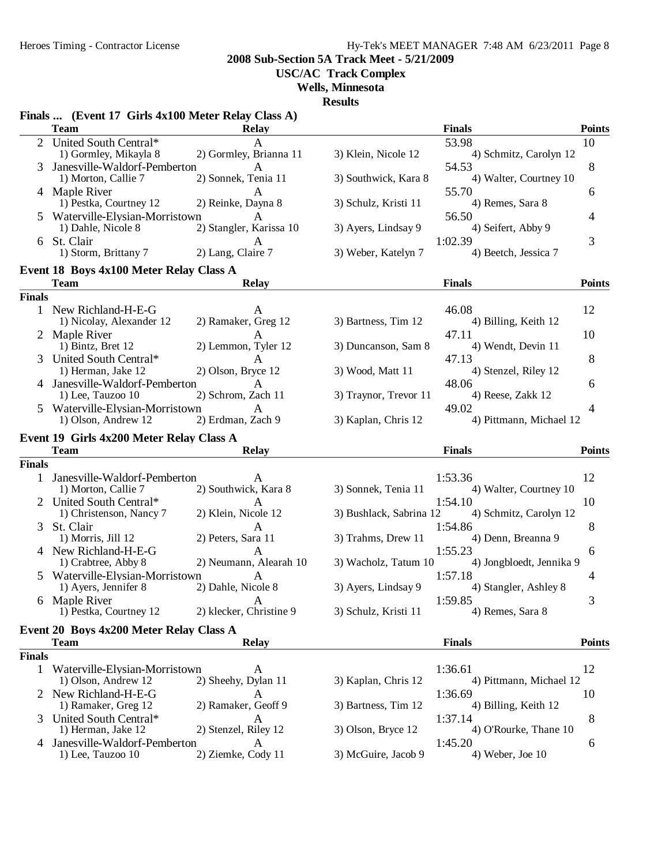**2008 Sub-Section 5A Track Meet - 5/21/2009**

**USC/AC Track Complex**

**Wells, Minnesota**

|               | Finals  (Event 17 Girls 4x100 Meter Relay Class A)      |                         | исэшь                   |                                  |               |
|---------------|---------------------------------------------------------|-------------------------|-------------------------|----------------------------------|---------------|
|               | <b>Team</b>                                             | <b>Relay</b>            |                         | <b>Finals</b>                    | <b>Points</b> |
|               | 2 United South Central*                                 | A                       |                         | 53.98                            | 10            |
|               | 1) Gormley, Mikayla 8                                   | 2) Gormley, Brianna 11  | 3) Klein, Nicole 12     | 4) Schmitz, Carolyn 12           |               |
|               | Janesville-Waldorf-Pemberton                            | A                       |                         | 54.53                            | 8             |
|               | 1) Morton, Callie 7                                     | 2) Sonnek, Tenia 11     | 3) Southwick, Kara 8    | 4) Walter, Courtney 10           |               |
|               | 4 Maple River<br>1) Pestka, Courtney 12                 | A<br>2) Reinke, Dayna 8 | 3) Schulz, Kristi 11    | 55.70<br>4) Remes, Sara 8        | 6             |
|               | Waterville-Elysian-Morristown                           | $\mathsf{A}$            |                         | 56.50                            | 4             |
|               | 1) Dahle, Nicole 8                                      | 2) Stangler, Karissa 10 | 3) Ayers, Lindsay 9     | 4) Seifert, Abby 9               |               |
|               | 6 St. Clair                                             | A                       |                         | 1:02.39                          | 3             |
|               | 1) Storm, Brittany 7                                    | 2) Lang, Claire 7       | 3) Weber, Katelyn 7     | 4) Beetch, Jessica 7             |               |
|               | Event 18 Boys 4x100 Meter Relay Class A                 |                         |                         |                                  |               |
|               | <b>Team</b>                                             | <b>Relay</b>            |                         | <b>Finals</b>                    | <b>Points</b> |
| <b>Finals</b> |                                                         |                         |                         |                                  |               |
|               | 1 New Richland-H-E-G                                    |                         |                         | 46.08                            | 12            |
|               | 1) Nicolay, Alexander 12                                | 2) Ramaker, Greg 12     | 3) Bartness, Tim 12     | 4) Billing, Keith 12             |               |
|               | 2 Maple River                                           |                         |                         | 47.11                            | 10            |
|               | 1) Bintz, Bret 12                                       | 2) Lemmon, Tyler 12     | 3) Duncanson, Sam 8     | 4) Wendt, Devin 11               |               |
| 3             | United South Central*                                   | A                       |                         | 47.13                            | 8             |
|               | 1) Herman, Jake 12                                      | 2) Olson, Bryce 12      | 3) Wood, Matt 11        | 4) Stenzel, Riley 12             |               |
| 4             | Janesville-Waldorf-Pemberton                            | A                       |                         | 48.06<br>4) Reese, Zakk 12       | 6             |
|               | 1) Lee, Tauzoo 10                                       | 2) Schrom, Zach 11      | 3) Traynor, Trevor 11   |                                  |               |
| 5             | Waterville-Elysian-Morristown<br>1) Olson, Andrew 12    | A<br>2) Erdman, Zach 9  | 3) Kaplan, Chris 12     | 49.02<br>4) Pittmann, Michael 12 | 4             |
|               |                                                         |                         |                         |                                  |               |
|               | Event 19 Girls 4x200 Meter Relay Class A<br><b>Team</b> | <b>Relay</b>            |                         | <b>Finals</b>                    | <b>Points</b> |
| <b>Finals</b> |                                                         |                         |                         |                                  |               |
| $\mathbf{1}$  | Janesville-Waldorf-Pemberton                            | A                       |                         | 1:53.36                          | 12            |
|               | 1) Morton, Callie 7                                     | 2) Southwick, Kara 8    | 3) Sonnek, Tenia 11     | 4) Walter, Courtney 10           |               |
|               | United South Central*                                   | A                       |                         | 1:54.10                          | 10            |
|               | 1) Christenson, Nancy 7                                 | 2) Klein, Nicole 12     | 3) Bushlack, Sabrina 12 | 4) Schmitz, Carolyn 12           |               |
| 3             | St. Clair                                               | A                       |                         | 1:54.86                          | 8             |
|               | 1) Morris, Jill 12                                      | 2) Peters, Sara 11      | 3) Trahms, Drew 11      | 4) Denn, Breanna 9               |               |
|               | 4 New Richland-H-E-G                                    | A                       |                         | 1:55.23                          | 6             |
|               | 1) Crabtree, Abby 8                                     | 2) Neumann, Alearah 10  | 3) Wacholz, Tatum 10    | 4) Jongbloedt, Jennika 9         |               |
| 5             | Waterville-Elysian-Morristown                           | A                       |                         | 1:57.18                          | 4             |
|               | 1) Ayers, Jennifer 8                                    | 2) Dahle, Nicole 8      | 3) Ayers, Lindsay 9     | 4) Stangler, Ashley 8            |               |
|               | 6 Maple River                                           | A                       |                         | 1:59.85                          | 3             |
|               |                                                         |                         |                         |                                  |               |
|               | 1) Pestka, Courtney 12                                  | 2) klecker, Christine 9 | 3) Schulz, Kristi 11    | 4) Remes, Sara 8                 |               |
|               | Event 20 Boys 4x200 Meter Relay Class A                 |                         |                         |                                  |               |
|               | <b>Team</b>                                             | <b>Relay</b>            |                         | <b>Finals</b>                    | <b>Points</b> |
| <b>Finals</b> |                                                         |                         |                         |                                  |               |
| $\mathbf{1}$  | Waterville-Elysian-Morristown                           | A                       |                         | 1:36.61                          | 12            |
|               | 1) Olson, Andrew 12                                     | 2) Sheehy, Dylan 11     | 3) Kaplan, Chris 12     | 4) Pittmann, Michael 12          |               |
| 2             | New Richland-H-E-G                                      | A                       |                         | 1:36.69                          | 10            |
|               | 1) Ramaker, Greg 12                                     | 2) Ramaker, Geoff 9     | 3) Bartness, Tim 12     | 4) Billing, Keith 12             |               |
| 3             | United South Central*                                   | A                       |                         | 1:37.14                          | 8             |
|               | 1) Herman, Jake 12                                      | 2) Stenzel, Riley 12    | 3) Olson, Bryce 12      | 4) O'Rourke, Thane 10            |               |
| 4             | Janesville-Waldorf-Pemberton<br>1) Lee, Tauzoo 10       | A<br>2) Ziemke, Cody 11 | 3) McGuire, Jacob 9     | 1:45.20<br>4) Weber, Joe 10      | 6             |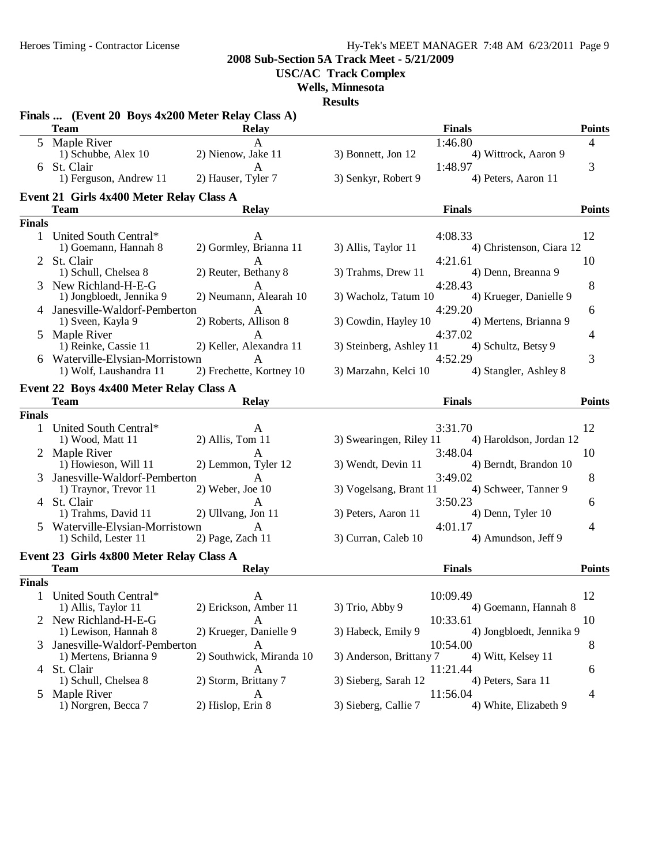**2008 Sub-Section 5A Track Meet - 5/21/2009**

**USC/AC Track Complex**

**Wells, Minnesota**

|                | Finals  (Event 20 Boys 4x200 Meter Relay Class A)       |                                         |                                                           |                |
|----------------|---------------------------------------------------------|-----------------------------------------|-----------------------------------------------------------|----------------|
|                | <b>Team</b>                                             | <b>Relay</b>                            | <b>Finals</b>                                             | <b>Points</b>  |
|                | 5 Maple River                                           | A                                       | 1:46.80                                                   | $\overline{4}$ |
|                | 1) Schubbe, Alex 10                                     | 2) Nienow, Jake 11                      | 3) Bonnett, Jon 12<br>4) Wittrock, Aaron 9                |                |
|                | 6 St. Clair                                             | A                                       | 1:48.97<br>4) Peters, Aaron 11                            | 3              |
|                | 1) Ferguson, Andrew 11                                  | 2) Hauser, Tyler 7                      | 3) Senkyr, Robert 9                                       |                |
|                | Event 21 Girls 4x400 Meter Relay Class A<br><b>Team</b> | <b>Relay</b>                            | <b>Finals</b>                                             | <b>Points</b>  |
| <b>Finals</b>  |                                                         |                                         |                                                           |                |
|                | 1 United South Central*                                 | A                                       | 4:08.33                                                   | 12             |
|                | 1) Goemann, Hannah 8                                    | 2) Gormley, Brianna 11                  | 3) Allis, Taylor 11<br>4) Christenson, Ciara 12           |                |
|                | 2 St. Clair                                             |                                         | 4:21.61                                                   | 10             |
|                | 1) Schull, Chelsea 8                                    | 2) Reuter, Bethany 8                    | 3) Trahms, Drew 11<br>4) Denn, Breanna 9                  |                |
|                | New Richland-H-E-G                                      | A                                       | 4:28.43                                                   | 8              |
|                | 1) Jongbloedt, Jennika 9                                | 2) Neumann, Alearah 10                  | 3) Wacholz, Tatum 10<br>4) Krueger, Danielle 9            |                |
|                | 4 Janesville-Waldorf-Pemberton                          | $\mathsf{A}$                            | 4:29.20                                                   | 6              |
|                | 1) Sveen, Kayla 9                                       | 2) Roberts, Allison 8                   | 3) Cowdin, Hayley 10<br>4) Mertens, Brianna 9             |                |
|                | 5 Maple River                                           | $\mathsf{A}$<br>2) Keller, Alexandra 11 | 4:37.02                                                   | 4              |
|                | 1) Reinke, Cassie 11<br>6 Waterville-Elysian-Morristown | A                                       | 3) Steinberg, Ashley 11<br>4) Schultz, Betsy 9<br>4:52.29 | 3              |
|                | 1) Wolf, Laushandra 11                                  | 2) Frechette, Kortney 10                | 3) Marzahn, Kelci 10<br>4) Stangler, Ashley 8             |                |
|                |                                                         |                                         |                                                           |                |
|                | Event 22 Boys 4x400 Meter Relay Class A<br><b>Team</b>  | <b>Relay</b>                            | <b>Finals</b>                                             | <b>Points</b>  |
| <b>Finals</b>  |                                                         |                                         |                                                           |                |
|                | 1 United South Central*                                 | A                                       | 3:31.70                                                   | 12             |
|                | 1) Wood, Matt 11                                        | $2)$ Allis, Tom 11                      | 3) Swearingen, Riley 11<br>4) Haroldson, Jordan 12        |                |
|                | Maple River                                             | A                                       | 3:48.04                                                   | 10             |
|                | 1) Howieson, Will 11                                    | 2) Lemmon, Tyler 12                     | 3) Wendt, Devin 11<br>4) Berndt, Brandon 10               |                |
| 3              | Janesville-Waldorf-Pemberton                            | A                                       | 3:49.02                                                   | 8              |
|                | 1) Traynor, Trevor 11                                   | $2)$ Weber, Joe 10                      | 3) Vogelsang, Brant 11<br>4) Schweer, Tanner 9            |                |
|                | 4 St. Clair<br>1) Trahms, David 11                      | A<br>2) Ullvang, Jon 11                 | 3:50.23<br>4) Denn, Tyler 10<br>3) Peters, Aaron 11       | 6              |
|                | 5 Waterville-Elysian-Morristown                         | $\mathsf{A}$                            | 4:01.17                                                   | 4              |
|                | 1) Schild, Lester 11                                    | 2) Page, Zach 11                        | 4) Amundson, Jeff 9<br>3) Curran, Caleb 10                |                |
|                |                                                         |                                         |                                                           |                |
|                | Event 23 Girls 4x800 Meter Relay Class A<br><b>Team</b> | <b>Relay</b>                            | <b>Finals</b>                                             | <b>Points</b>  |
| <b>Finals</b>  |                                                         |                                         |                                                           |                |
|                | 1 United South Central*                                 | A                                       | 10:09.49                                                  | 12             |
|                | 1) Allis, Taylor 11                                     | 2) Erickson, Amber 11                   | 3) Trio, Abby 9<br>4) Goemann, Hannah 8                   |                |
|                | 2 New Richland-H-E-G                                    |                                         | 10:33.61                                                  | 10             |
|                | 1) Lewison, Hannah 8                                    | 2) Krueger, Danielle 9                  | 3) Habeck, Emily 9<br>4) Jongbloedt, Jennika 9            |                |
| 3              | Janesville-Waldorf-Pemberton                            | A                                       | 10:54.00                                                  | 8              |
|                | 1) Mertens, Brianna 9                                   | 2) Southwick, Miranda 10                | 3) Anderson, Brittany 7<br>4) Witt, Kelsey 11             |                |
|                | 4 St. Clair                                             | A                                       | 11:21.44                                                  | 6              |
|                | 1) Schull, Chelsea 8                                    | 2) Storm, Brittany 7                    | 3) Sieberg, Sarah 12<br>4) Peters, Sara 11                |                |
| $\mathfrak{S}$ | Maple River<br>1) Norgren, Becca 7                      | A<br>2) Hislop, Erin 8                  | 11:56.04<br>3) Sieberg, Callie 7<br>4) White, Elizabeth 9 | 4              |
|                |                                                         |                                         |                                                           |                |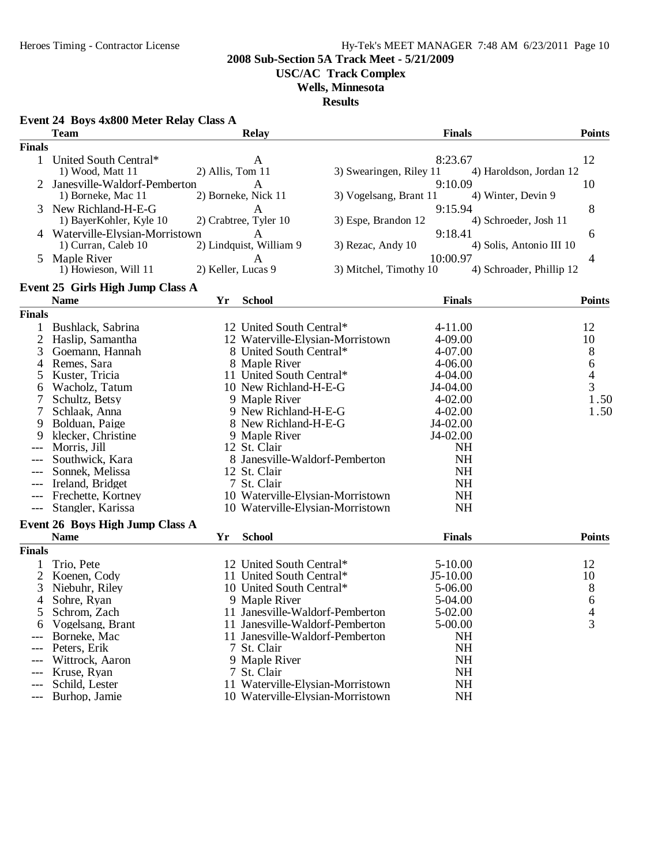**2008 Sub-Section 5A Track Meet - 5/21/2009**

**USC/AC Track Complex**

### **Wells, Minnesota**

|               | Event 24 Boys 4x800 Meter Relay Class A<br><b>Team</b> |                    | <b>Relay</b>                            |                         | <b>Finals</b>                 | <b>Points</b>                 |
|---------------|--------------------------------------------------------|--------------------|-----------------------------------------|-------------------------|-------------------------------|-------------------------------|
| <b>Finals</b> |                                                        |                    |                                         |                         |                               |                               |
| $\mathbf{1}$  | United South Central*<br>1) Wood, Matt 11              | 2) Allis, Tom 11   | A                                       | 3) Swearingen, Riley 11 | 8:23.67                       | 12<br>4) Haroldson, Jordan 12 |
|               | Janesville-Waldorf-Pemberton<br>1) Borneke, Mac 11     |                    | A<br>2) Borneke, Nick 11                | 3) Vogelsang, Brant 11  | 9:10.09<br>4) Winter, Devin 9 | 10                            |
|               | New Richland-H-E-G<br>1) BayerKohler, Kyle 10          |                    | A<br>2) Crabtree, Tyler 10              | 3) Espe, Brandon 12     | 9:15.94                       | 8<br>4) Schroeder, Josh 11    |
|               | Waterville-Elysian-Morristown<br>1) Curran, Caleb 10   |                    | $\mathsf{A}$<br>2) Lindquist, William 9 | 3) Rezac, Andy 10       | 9:18.41                       | 6<br>4) Solis, Antonio III 10 |
| 5             | Maple River<br>1) Howieson, Will 11                    | 2) Keller, Lucas 9 | Α                                       | 3) Mitchel, Timothy 10  | 10:00.97                      | 4<br>4) Schroader, Phillip 12 |
|               | Event 25 Girls High Jump Class A                       |                    |                                         |                         |                               |                               |
|               | <b>Name</b>                                            | Yr                 | <b>School</b>                           |                         | <b>Finals</b>                 | <b>Points</b>                 |
| <b>Finals</b> |                                                        |                    |                                         |                         |                               |                               |
| 1             | Bushlack, Sabrina                                      |                    | 12 United South Central*                |                         | $4 - 11.00$                   | 12                            |
| 2             | Haslip, Samantha                                       |                    | 12 Waterville-Elysian-Morristown        |                         | 4-09.00                       | 10                            |
| 3             | Goemann, Hannah                                        |                    | 8 United South Central*                 |                         | 4-07.00                       | 8                             |
| 4             | Remes, Sara                                            |                    | 8 Maple River                           |                         | 4-06.00                       | 6                             |
| 5             | Kuster, Tricia                                         |                    | 11 United South Central*                |                         | 4-04.00                       | $\overline{4}$                |
| 6             | Wacholz, Tatum                                         |                    | 10 New Richland-H-E-G                   |                         | J4-04.00                      | $\overline{3}$                |
| 7             | Schultz, Betsy                                         |                    | 9 Maple River                           |                         | $4 - 02.00$                   | 1.50                          |
| 7             | Schlaak, Anna                                          |                    | 9 New Richland-H-E-G                    |                         | $4 - 02.00$                   | 1.50                          |
| 9             | Bolduan, Paige                                         |                    | 8 New Richland-H-E-G                    |                         | J4-02.00                      |                               |
| 9             | klecker, Christine                                     |                    | 9 Maple River                           |                         | J4-02.00                      |                               |
|               | Morris, Jill                                           |                    | 12 St. Clair                            |                         | <b>NH</b>                     |                               |
|               | Southwick, Kara                                        |                    | 8 Janesville-Waldorf-Pemberton          |                         | <b>NH</b>                     |                               |
|               | Sonnek, Melissa                                        |                    | 12 St. Clair                            |                         | <b>NH</b>                     |                               |
|               | Ireland, Bridget                                       |                    | 7 St. Clair                             |                         | <b>NH</b>                     |                               |
|               | Frechette, Kortney                                     |                    | 10 Waterville-Elysian-Morristown        |                         | <b>NH</b>                     |                               |
| $---$         | Stangler, Karissa                                      |                    | 10 Waterville-Elysian-Morristown        |                         | <b>NH</b>                     |                               |
|               | Event 26 Boys High Jump Class A<br><b>Name</b>         | Yr                 | <b>School</b>                           |                         | <b>Finals</b>                 | <b>Points</b>                 |
|               |                                                        |                    |                                         |                         |                               |                               |
| <b>Finals</b> |                                                        |                    |                                         |                         |                               |                               |
|               | Trio, Pete                                             |                    | 12 United South Central*                |                         | $5 - 10.00$                   | 12                            |
| 2             | Koenen, Cody                                           |                    | 11 United South Central*                |                         | $J5-10.00$                    | 10                            |
| 3             | Niebuhr, Riley                                         |                    | 10 United South Central*                |                         | 5-06.00                       | 8                             |
| 4             | Sohre, Ryan                                            |                    | 9 Maple River                           |                         | 5-04.00                       | 6                             |
| 5             | Schrom, Zach                                           |                    | 11 Janesville-Waldorf-Pemberton         |                         | 5-02.00                       | 4                             |
|               | Vogelsang, Brant                                       |                    | 11 Janesville-Waldorf-Pemberton         |                         | 5-00.00                       | 3                             |
|               | Borneke, Mac                                           |                    | 11 Janesville-Waldorf-Pemberton         |                         | <b>NH</b>                     |                               |
|               | Peters, Erik                                           |                    | 7 St. Clair                             |                         | <b>NH</b>                     |                               |
|               | Wittrock, Aaron                                        |                    | 9 Maple River                           |                         | <b>NH</b>                     |                               |
|               | Kruse, Ryan                                            |                    | 7 St. Clair                             |                         | <b>NH</b>                     |                               |
|               | Schild, Lester                                         |                    | 11 Waterville-Elysian-Morristown        |                         | <b>NH</b>                     |                               |
| $---$         | Burhop, Jamie                                          |                    | 10 Waterville-Elysian-Morristown        |                         | <b>NH</b>                     |                               |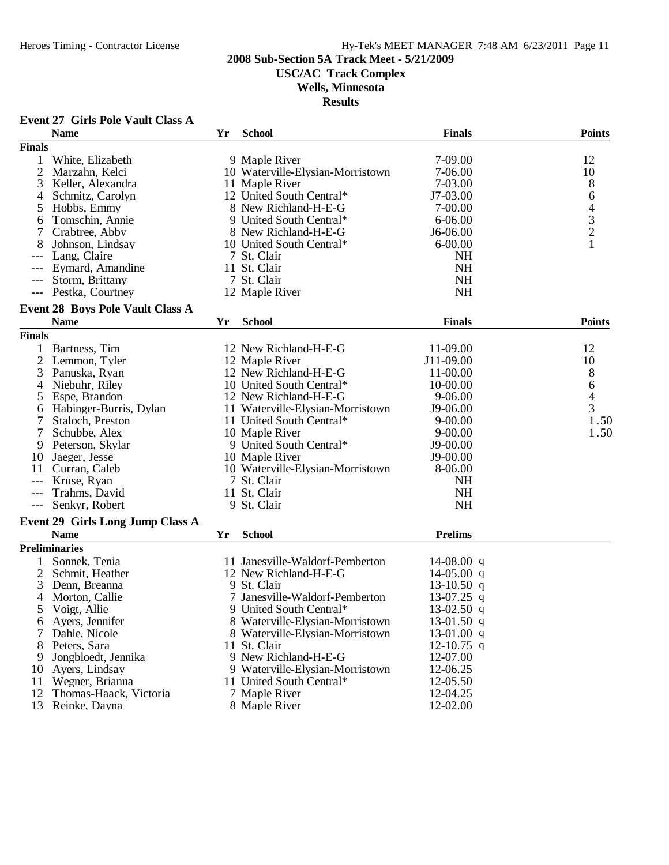### **2008 Sub-Section 5A Track Meet - 5/21/2009**

**USC/AC Track Complex**

### **Wells, Minnesota**

|                | <b>Event 27 Girls Pole Vault Class A</b> |    |                                                                    |                |                                            |
|----------------|------------------------------------------|----|--------------------------------------------------------------------|----------------|--------------------------------------------|
|                | <b>Name</b>                              | Yr | <b>School</b>                                                      | <b>Finals</b>  | <b>Points</b>                              |
| <b>Finals</b>  |                                          |    |                                                                    |                |                                            |
| 1              | White, Elizabeth                         |    | 9 Maple River                                                      | 7-09.00        | 12                                         |
| 2              | Marzahn, Kelci                           |    | 10 Waterville-Elysian-Morristown                                   | 7-06.00        | 10                                         |
| 3              | Keller, Alexandra                        |    | 11 Maple River                                                     | 7-03.00        | 8                                          |
| 4              | Schmitz, Carolyn                         |    | 12 United South Central*                                           | J7-03.00       | 6                                          |
| 5              | Hobbs, Emmy                              |    | 8 New Richland-H-E-G                                               | $7 - 00.00$    |                                            |
| 6              | Tomschin, Annie                          |    | 9 United South Central*                                            | $6 - 06.00$    | $\begin{array}{c} 4 \\ 3 \\ 2 \end{array}$ |
| 7              | Crabtree, Abby                           |    | 8 New Richland-H-E-G                                               | J6-06.00       |                                            |
| 8              | Johnson, Lindsay                         |    | 10 United South Central*                                           | $6 - 00.00$    | $\mathbf{1}$                               |
|                | Lang, Claire                             |    | 7 St. Clair                                                        | NH             |                                            |
|                | Eymard, Amandine                         |    | 11 St. Clair                                                       | <b>NH</b>      |                                            |
|                | Storm, Brittany                          |    | 7 St. Clair                                                        | <b>NH</b>      |                                            |
| $---$          | Pestka, Courtney                         |    | 12 Maple River                                                     | <b>NH</b>      |                                            |
|                |                                          |    |                                                                    |                |                                            |
|                | <b>Event 28 Boys Pole Vault Class A</b>  |    |                                                                    |                |                                            |
|                | <b>Name</b>                              | Yr | <b>School</b>                                                      | <b>Finals</b>  | <b>Points</b>                              |
| <b>Finals</b>  |                                          |    |                                                                    |                |                                            |
| 1              | Bartness, Tim                            |    | 12 New Richland-H-E-G                                              | 11-09.00       | 12                                         |
| $\overline{2}$ | Lemmon, Tyler                            |    | 12 Maple River                                                     | J11-09.00      | 10                                         |
| 3              | Panuska, Ryan                            |    | 12 New Richland-H-E-G                                              | 11-00.00       | 8                                          |
| 4              | Niebuhr, Riley                           |    | 10 United South Central*                                           | 10-00.00       | 6                                          |
| 5              | Espe, Brandon                            |    | 12 New Richland-H-E-G                                              | 9-06.00        | $\overline{4}$                             |
| 6              | Habinger-Burris, Dylan                   |    | 11 Waterville-Elysian-Morristown                                   | J9-06.00       | $\overline{3}$                             |
| 7              | Staloch, Preston                         |    | 11 United South Central*                                           | $9 - 00.00$    | 1.50                                       |
| 7              | Schubbe, Alex                            |    | 10 Maple River                                                     | $9 - 00.00$    | 1.50                                       |
| 9              | Peterson, Skylar                         |    | 9 United South Central*                                            | J9-00.00       |                                            |
| 10             | Jaeger, Jesse                            |    | 10 Maple River                                                     | J9-00.00       |                                            |
| 11             | Curran, Caleb                            |    | 10 Waterville-Elysian-Morristown                                   | 8-06.00        |                                            |
|                | Kruse, Ryan                              |    | 7 St. Clair                                                        | <b>NH</b>      |                                            |
|                | Trahms, David                            |    | 11 St. Clair                                                       | <b>NH</b>      |                                            |
| $---$          | Senkyr, Robert                           |    | 9 St. Clair                                                        | <b>NH</b>      |                                            |
|                | Event 29 Girls Long Jump Class A         |    |                                                                    |                |                                            |
|                | <b>Name</b>                              | Yr | <b>School</b>                                                      | <b>Prelims</b> |                                            |
|                | <b>Preliminaries</b>                     |    |                                                                    |                |                                            |
|                | Sonnek, Tenia                            |    | 11 Janesville-Waldorf-Pemberton                                    | 14-08.00 q     |                                            |
| 2              | Schmit, Heather                          |    | 12 New Richland-H-E-G                                              | $14-05.00$ q   |                                            |
| 3              | Denn, Breanna                            |    | 9 St. Clair                                                        | 13-10.50 q     |                                            |
| 4              | Morton, Callie                           |    | 7 Janesville-Waldorf-Pemberton                                     | $13-07.25$ q   |                                            |
|                | Voigt, Allie                             |    | 9 United South Central*                                            | 13-02.50 q     |                                            |
| 5              |                                          |    |                                                                    | 13-01.50 $q$   |                                            |
| 6              | Ayers, Jennifer                          |    | 8 Waterville-Elysian-Morristown<br>8 Waterville-Elysian-Morristown |                |                                            |
|                | Dahle, Nicole                            |    |                                                                    | 13-01.00 q     |                                            |
| 8              | Peters, Sara                             |    | 11 St. Clair                                                       | $12-10.75$ q   |                                            |
| 9              | Jongbloedt, Jennika                      |    | 9 New Richland-H-E-G                                               | 12-07.00       |                                            |
| 10             | Ayers, Lindsay                           |    | 9 Waterville-Elysian-Morristown                                    | 12-06.25       |                                            |
| 11             | Wegner, Brianna                          |    | 11 United South Central*                                           | 12-05.50       |                                            |
| 12             | Thomas-Haack, Victoria                   |    | 7 Maple River                                                      | 12-04.25       |                                            |
| 13             | Reinke, Dayna                            |    | 8 Maple River                                                      | 12-02.00       |                                            |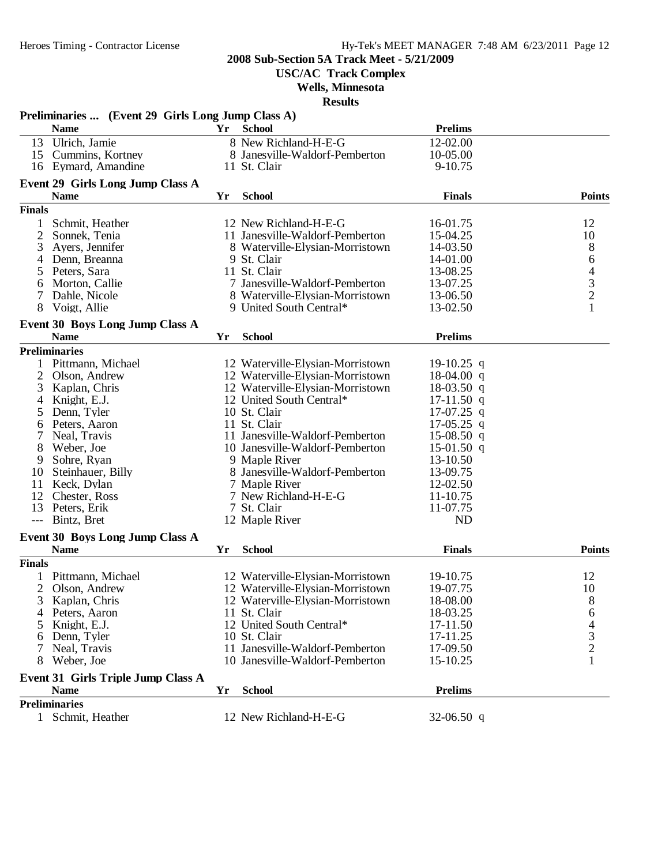**USC/AC Track Complex**

### **Wells, Minnesota**

|                     | Preliminaries  (Event 29 Girls Long Jump Class A)     |    |                                  |                |                    |
|---------------------|-------------------------------------------------------|----|----------------------------------|----------------|--------------------|
|                     | <b>Name</b>                                           | Yr | <b>School</b>                    | <b>Prelims</b> |                    |
|                     | 13 Ulrich, Jamie                                      |    | 8 New Richland-H-E-G             | 12-02.00       |                    |
|                     | 15 Cummins, Kortney                                   |    | 8 Janesville-Waldorf-Pemberton   | 10-05.00       |                    |
|                     | 16 Eymard, Amandine                                   |    | 11 St. Clair                     | $9-10.75$      |                    |
|                     | <b>Event 29 Girls Long Jump Class A</b>               |    |                                  |                |                    |
|                     | <b>Name</b>                                           | Yr | <b>School</b>                    | <b>Finals</b>  | <b>Points</b>      |
| <b>Finals</b>       |                                                       |    |                                  |                |                    |
| $\mathbf{1}$        | Schmit, Heather                                       |    | 12 New Richland-H-E-G            | 16-01.75       | 12                 |
| $\overline{c}$      | Sonnek, Tenia                                         |    | 11 Janesville-Waldorf-Pemberton  | 15-04.25       | 10                 |
| 3                   | Ayers, Jennifer                                       |    | 8 Waterville-Elysian-Morristown  | 14-03.50       | 8                  |
| 4                   | Denn, Breanna                                         |    | 9 St. Clair                      | 14-01.00       |                    |
| 5                   | Peters, Sara                                          |    | 11 St. Clair                     | 13-08.25       | $64$<br>$3$<br>$2$ |
| 6                   | Morton, Callie                                        |    | 7 Janesville-Waldorf-Pemberton   | 13-07.25       |                    |
| 7                   | Dahle, Nicole                                         |    | 8 Waterville-Elysian-Morristown  | 13-06.50       |                    |
| 8                   | Voigt, Allie                                          |    | 9 United South Central*          | 13-02.50       | $\mathbf{1}$       |
|                     |                                                       |    |                                  |                |                    |
|                     | <b>Event 30 Boys Long Jump Class A</b>                |    |                                  |                |                    |
|                     | <b>Name</b>                                           | Yr | <b>School</b>                    | <b>Prelims</b> |                    |
|                     | <b>Preliminaries</b>                                  |    |                                  |                |                    |
| $\mathbf{1}$        | Pittmann, Michael                                     |    | 12 Waterville-Elysian-Morristown | 19-10.25 q     |                    |
| 2                   | Olson, Andrew                                         |    | 12 Waterville-Elysian-Morristown | $18-04.00$ q   |                    |
| 3                   | Kaplan, Chris                                         |    | 12 Waterville-Elysian-Morristown | 18-03.50 q     |                    |
| 4                   | Knight, E.J.                                          |    | 12 United South Central*         | $17-11.50$ q   |                    |
| 5                   | Denn, Tyler                                           |    | 10 St. Clair                     | $17-07.25$ q   |                    |
| 6                   | Peters, Aaron                                         |    | 11 St. Clair                     | $17-05.25$ q   |                    |
| 7                   | Neal, Travis                                          |    | 11 Janesville-Waldorf-Pemberton  | $15-08.50$ q   |                    |
| 8                   | Weber, Joe                                            |    | 10 Janesville-Waldorf-Pemberton  | 15-01.50 q     |                    |
| 9                   | Sohre, Ryan                                           |    | 9 Maple River                    | 13-10.50       |                    |
| 10                  | Steinhauer, Billy                                     |    | 8 Janesville-Waldorf-Pemberton   | 13-09.75       |                    |
| 11                  | Keck, Dylan                                           |    | 7 Maple River                    | 12-02.50       |                    |
| 12                  | Chester, Ross                                         |    | 7 New Richland-H-E-G             | 11-10.75       |                    |
| 13                  | Peters, Erik                                          |    | 7 St. Clair                      | 11-07.75       |                    |
| $\qquad \qquad - -$ | Bintz, Bret                                           |    | 12 Maple River                   | <b>ND</b>      |                    |
|                     |                                                       |    |                                  |                |                    |
|                     | <b>Event 30 Boys Long Jump Class A</b><br><b>Name</b> | Yr | <b>School</b>                    | <b>Finals</b>  | <b>Points</b>      |
| <b>Finals</b>       |                                                       |    |                                  |                |                    |
|                     |                                                       |    |                                  |                |                    |
|                     | Pittmann, Michael                                     |    | 12 Waterville-Elysian-Morristown | 19-10.75       | 12                 |
| 2                   | Olson, Andrew                                         |    | 12 Waterville-Elysian-Morristown | 19-07.75       | 10                 |
|                     | 3 Kaplan, Chris                                       |    | 12 Waterville-Elysian-Morristown | 18-08.00       | $8\,$              |
| 4                   | Peters, Aaron                                         |    | 11 St. Clair                     | 18-03.25       | 6                  |
|                     | Knight, E.J.                                          |    | 12 United South Central*         | 17-11.50       | 4                  |
|                     | Denn, Tyler                                           |    | 10 St. Clair                     | 17-11.25       | $\frac{3}{2}$      |
|                     | Neal, Travis                                          |    | 11 Janesville-Waldorf-Pemberton  | 17-09.50       |                    |
| 8                   | Weber, Joe                                            |    | 10 Janesville-Waldorf-Pemberton  | 15-10.25       | 1                  |
|                     | Event 31 Girls Triple Jump Class A                    |    |                                  |                |                    |
|                     | <b>Name</b>                                           | Yr | <b>School</b>                    | <b>Prelims</b> |                    |
|                     | <b>Preliminaries</b>                                  |    |                                  |                |                    |
| $\mathbf{1}$        | Schmit, Heather                                       |    | 12 New Richland-H-E-G            | $32-06.50$ q   |                    |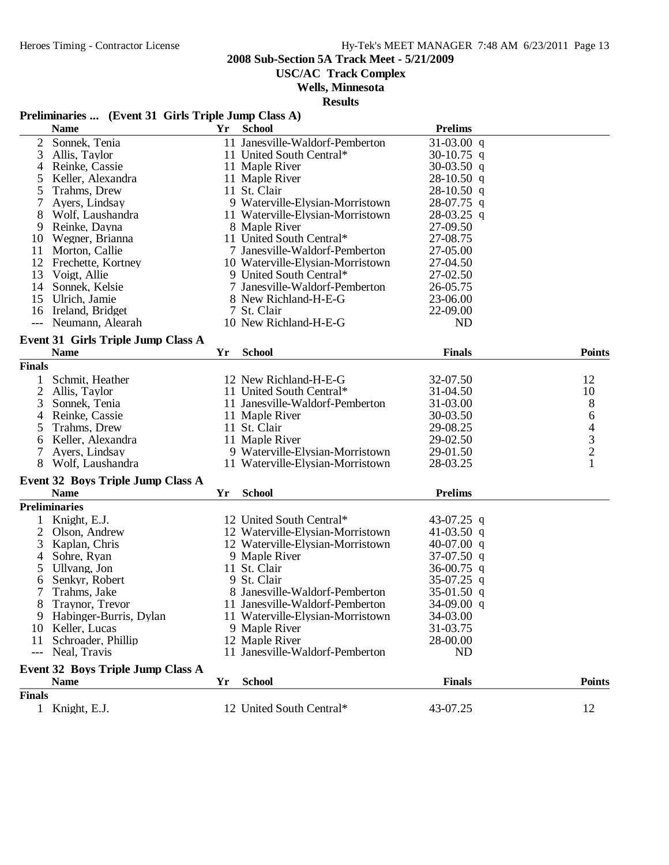**USC/AC Track Complex**

### **Wells, Minnesota**

**Results**

# **Preliminaries ... (Event 31 Girls Triple Jump Class A)**

|                | <b>Name</b>                              | <b>Yr</b> | <b>School</b>                    | <b>Prelims</b> |                                            |
|----------------|------------------------------------------|-----------|----------------------------------|----------------|--------------------------------------------|
| $\overline{2}$ | Sonnek, Tenia                            |           | 11 Janesville-Waldorf-Pemberton  | $31-03.00$ q   |                                            |
| 3              | Allis, Taylor                            |           | 11 United South Central*         | 30-10.75 q     |                                            |
| 4              | Reinke, Cassie                           |           | 11 Maple River                   | $30-03.50$ q   |                                            |
| 5              | Keller, Alexandra                        |           | 11 Maple River                   | $28-10.50$ q   |                                            |
| 5              | Trahms, Drew                             |           | 11 St. Clair<br>$28-10.50$ q     |                |                                            |
|                | Ayers, Lindsay                           |           | 9 Waterville-Elysian-Morristown  | 28-07.75 q     |                                            |
| 8              | Wolf, Laushandra                         |           | 11 Waterville-Elysian-Morristown | $28-03.25$ q   |                                            |
| 9              | Reinke, Dayna                            |           | 8 Maple River                    | 27-09.50       |                                            |
| 10             | Wegner, Brianna                          |           | 11 United South Central*         | 27-08.75       |                                            |
| 11             | Morton, Callie                           |           | 7 Janesville-Waldorf-Pemberton   | 27-05.00       |                                            |
| 12             | Frechette, Kortney                       |           | 10 Waterville-Elysian-Morristown | 27-04.50       |                                            |
| 13             | Voigt, Allie                             |           | 9 United South Central*          | 27-02.50       |                                            |
| 14             | Sonnek, Kelsie                           |           | 7 Janesville-Waldorf-Pemberton   | 26-05.75       |                                            |
| 15             | Ulrich, Jamie                            |           | 8 New Richland-H-E-G             | 23-06.00       |                                            |
| 16             | Ireland, Bridget                         |           | 7 St. Clair                      | 22-09.00       |                                            |
|                | --- Neumann, Alearah                     |           | 10 New Richland-H-E-G            | <b>ND</b>      |                                            |
|                |                                          |           |                                  |                |                                            |
|                | Event 31 Girls Triple Jump Class A       |           |                                  |                |                                            |
|                | <b>Name</b>                              | Yr        | <b>School</b>                    | <b>Finals</b>  | <b>Points</b>                              |
| <b>Finals</b>  |                                          |           |                                  |                |                                            |
|                | Schmit, Heather                          |           | 12 New Richland-H-E-G            | 32-07.50       | 12                                         |
| $\overline{2}$ | Allis, Taylor                            |           | 11 United South Central*         | 31-04.50       | 10                                         |
| 3              | Sonnek, Tenia                            |           | 11 Janesville-Waldorf-Pemberton  | 31-03.00       | 8                                          |
| 4              | Reinke, Cassie                           |           | 11 Maple River                   | 30-03.50       | 6                                          |
| 5              | Trahms, Drew                             |           | 11 St. Clair                     | 29-08.25       |                                            |
| 6              | Keller, Alexandra                        |           | 11 Maple River                   | 29-02.50       | $\begin{array}{c} 4 \\ 3 \\ 2 \end{array}$ |
| 7              | Ayers, Lindsay                           |           | 9 Waterville-Elysian-Morristown  | 29-01.50       |                                            |
| 8              | Wolf, Laushandra                         |           | 11 Waterville-Elysian-Morristown | 28-03.25       | $\mathbf{1}$                               |
|                |                                          |           |                                  |                |                                            |
|                | <b>Event 32 Boys Triple Jump Class A</b> |           |                                  |                |                                            |
|                | <b>Name</b>                              | Yr        | <b>School</b>                    | <b>Prelims</b> |                                            |
|                | <b>Preliminaries</b>                     |           |                                  |                |                                            |
| 1              | Knight, E.J.                             |           | 12 United South Central*         | 43-07.25 q     |                                            |
| $\overline{2}$ | Olson, Andrew                            |           | 12 Waterville-Elysian-Morristown | 41-03.50 q     |                                            |
| 3              | Kaplan, Chris                            |           | 12 Waterville-Elysian-Morristown | 40-07.00 q     |                                            |
| 4              | Sohre, Ryan                              |           | 9 Maple River                    | $37-07.50$ q   |                                            |
| 5              | Ullvang, Jon                             |           | 11 St. Clair                     | 36-00.75 q     |                                            |
| 6              | Senkyr, Robert                           |           | 9 St. Clair                      | 35-07.25 q     |                                            |
| 7              | Trahms, Jake                             |           | 8 Janesville-Waldorf-Pemberton   | 35-01.50 q     |                                            |
| 8              | Traynor, Trevor                          |           | 11 Janesville-Waldorf-Pemberton  | $34-09.00$ q   |                                            |
| 9              | Habinger-Burris, Dylan                   |           | 11 Waterville-Elysian-Morristown | 34-03.00       |                                            |
| 10             | Keller, Lucas                            |           | 9 Maple River                    | 31-03.75       |                                            |
| 11             | Schroader, Phillip                       |           | 12 Maple River                   | 28-00.00       |                                            |
| $---$          | Neal, Travis                             |           | 11 Janesville-Waldorf-Pemberton  | <b>ND</b>      |                                            |
|                | <b>Event 32 Boys Triple Jump Class A</b> |           |                                  |                |                                            |
|                | <b>Name</b>                              | Yr        | <b>School</b>                    | <b>Finals</b>  | <b>Points</b>                              |
| <b>Finals</b>  |                                          |           |                                  |                |                                            |
|                |                                          |           |                                  |                |                                            |
| $\mathbf{1}$   | Knight, E.J.                             |           | 12 United South Central*         | 43-07.25       | 12                                         |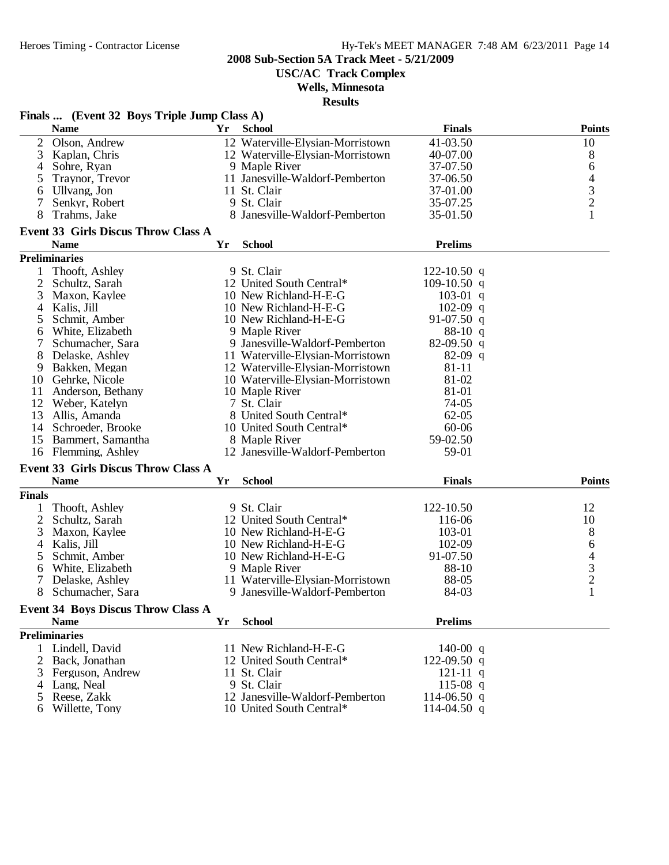**USC/AC Track Complex**

### **Wells, Minnesota**

|                | Finals  (Event 32 Boys Triple Jump Class A) |    |                                  |                |                                            |
|----------------|---------------------------------------------|----|----------------------------------|----------------|--------------------------------------------|
|                | <b>Name</b>                                 | Yr | <b>School</b>                    | <b>Finals</b>  | <b>Points</b>                              |
| $\overline{2}$ | Olson, Andrew                               |    | 12 Waterville-Elysian-Morristown | 41-03.50       | 10                                         |
| 3              | Kaplan, Chris                               |    | 12 Waterville-Elysian-Morristown | 40-07.00       | 8                                          |
| 4              | Sohre, Ryan                                 |    | 9 Maple River                    | 37-07.50       | 6                                          |
| 5              | Traynor, Trevor                             |    | 11 Janesville-Waldorf-Pemberton  | 37-06.50       | $\overline{\mathcal{A}}$                   |
| 6              | Ullvang, Jon                                |    | 11 St. Clair                     | 37-01.00       |                                            |
| 7              | Senkyr, Robert                              |    | 9 St. Clair                      | 35-07.25       | $\frac{3}{2}$                              |
| 8              | Trahms, Jake                                |    | 8 Janesville-Waldorf-Pemberton   | 35-01.50       | $\mathbf{1}$                               |
|                | <b>Event 33 Girls Discus Throw Class A</b>  |    |                                  |                |                                            |
|                | <b>Name</b>                                 | Yr | <b>School</b>                    | <b>Prelims</b> |                                            |
|                | <b>Preliminaries</b>                        |    |                                  |                |                                            |
| 1              | Thooft, Ashley                              |    | 9 St. Clair                      | 122-10.50 q    |                                            |
| $\overline{2}$ | Schultz, Sarah                              |    | 12 United South Central*         | $109-10.50$ q  |                                            |
| 3              | Maxon, Kaylee                               |    | 10 New Richland-H-E-G            | $103-01$ q     |                                            |
| 4              | Kalis, Jill                                 |    | 10 New Richland-H-E-G            | $102-09$ q     |                                            |
| 5              | Schmit, Amber                               |    | 10 New Richland-H-E-G            | 91-07.50 $q$   |                                            |
| 6              | White, Elizabeth                            |    | 9 Maple River                    | $88-10 q$      |                                            |
| 7              | Schumacher, Sara                            |    | 9 Janesville-Waldorf-Pemberton   | $82-09.50$ q   |                                            |
| 8              | Delaske, Ashley                             |    | 11 Waterville-Elysian-Morristown | $82-09$ q      |                                            |
| 9              | Bakken, Megan                               |    | 12 Waterville-Elysian-Morristown | $81 - 11$      |                                            |
| 10             | Gehrke, Nicole                              |    | 10 Waterville-Elysian-Morristown | 81-02          |                                            |
| 11             | Anderson, Bethany                           |    | 10 Maple River                   | 81-01          |                                            |
|                | 12 Weber, Katelyn                           |    | 7 St. Clair                      | 74-05          |                                            |
| 13             | Allis, Amanda                               |    | 8 United South Central*          | $62 - 05$      |                                            |
| 14             | Schroeder, Brooke                           |    | 10 United South Central*         | 60-06          |                                            |
| 15             | Bammert, Samantha                           |    | 8 Maple River                    | 59-02.50       |                                            |
| 16             | Flemming, Ashley                            |    | 12 Janesville-Waldorf-Pemberton  | 59-01          |                                            |
|                |                                             |    |                                  |                |                                            |
|                | <b>Event 33 Girls Discus Throw Class A</b>  |    |                                  |                |                                            |
|                | <b>Name</b>                                 | Yr | <b>School</b>                    | <b>Finals</b>  | <b>Points</b>                              |
| <b>Finals</b>  |                                             |    |                                  |                |                                            |
| 1              | Thooft, Ashley                              |    | 9 St. Clair                      | 122-10.50      | 12                                         |
| $\overline{2}$ | Schultz, Sarah                              |    | 12 United South Central*         | 116-06         | 10                                         |
| 3              | Maxon, Kaylee                               |    | 10 New Richland-H-E-G            | 103-01         | 8                                          |
| $\overline{4}$ | Kalis, Jill                                 |    | 10 New Richland-H-E-G            | 102-09         | 6                                          |
| 5              | Schmit, Amber                               |    | 10 New Richland-H-E-G            | 91-07.50       | $\begin{array}{c} 4 \\ 3 \\ 2 \end{array}$ |
| 6              | White, Elizabeth                            |    | 9 Maple River                    | 88-10          |                                            |
| $\tau$         | Delaske, Ashley                             |    | 11 Waterville-Elysian-Morristown | 88-05          |                                            |
| 8              | Schumacher, Sara                            |    | 9 Janesville-Waldorf-Pemberton   | 84-03          | $\mathbf{1}$                               |
|                | <b>Event 34 Boys Discus Throw Class A</b>   |    |                                  |                |                                            |
|                | <b>Name</b>                                 | Yr | <b>School</b>                    | <b>Prelims</b> |                                            |
|                | <b>Preliminaries</b>                        |    |                                  |                |                                            |
|                | 1 Lindell, David                            |    | 11 New Richland-H-E-G            | 140-00 $q$     |                                            |
| 2              | Back, Jonathan                              |    | 12 United South Central*         | 122-09.50 q    |                                            |
| 3              | Ferguson, Andrew                            |    | 11 St. Clair                     | $121 - 11$ q   |                                            |
|                | 4 Lang, Neal                                |    | 9 St. Clair                      | 115-08 q       |                                            |
| 5              | Reese, Zakk                                 |    | 12 Janesville-Waldorf-Pemberton  | 114-06.50 q    |                                            |
| 6              | Willette, Tony                              |    | 10 United South Central*         | 114-04.50 q    |                                            |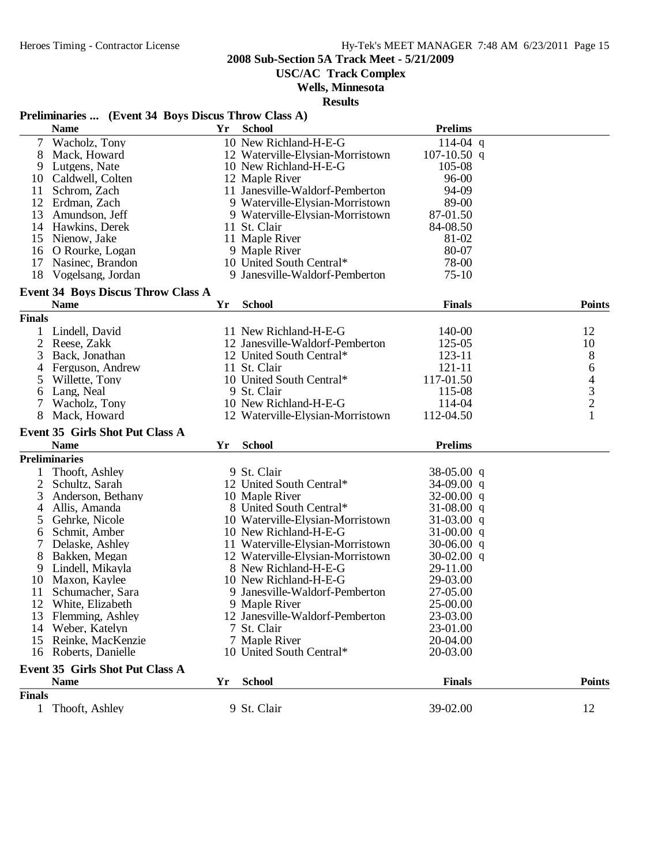**USC/AC Track Complex**

### **Wells, Minnesota**

**Results**

# **Preliminaries ... (Event 34 Boys Discus Throw Class A)**

|               | <b>Name</b>                               | Yr | <b>School</b>                    | <b>Prelims</b>               |                                            |
|---------------|-------------------------------------------|----|----------------------------------|------------------------------|--------------------------------------------|
| 7             | Wacholz, Tony                             |    | 10 New Richland-H-E-G            | $114-04$ q                   |                                            |
| 8             | Mack, Howard                              |    | 12 Waterville-Elysian-Morristown | $107 - 10.50$ q              |                                            |
| 9             | Lutgens, Nate                             |    | 10 New Richland-H-E-G            | 105-08                       |                                            |
| 10            | Caldwell, Colten                          |    | 12 Maple River                   | 96-00                        |                                            |
| 11            | Schrom, Zach                              |    | 11 Janesville-Waldorf-Pemberton  | 94-09                        |                                            |
| 12            | Erdman, Zach                              |    | 9 Waterville-Elysian-Morristown  | 89-00                        |                                            |
| 13            | Amundson, Jeff                            |    | 9 Waterville-Elysian-Morristown  | 87-01.50                     |                                            |
|               | 14 Hawkins, Derek                         |    | 11 St. Clair                     | 84-08.50                     |                                            |
| 15            | Nienow, Jake                              |    | 11 Maple River                   | 81-02                        |                                            |
| 16            | O Rourke, Logan                           |    | 9 Maple River                    | 80-07                        |                                            |
| 17            | Nasinec, Brandon                          |    | 10 United South Central*         | 78-00                        |                                            |
| 18            | Vogelsang, Jordan                         |    | 9 Janesville-Waldorf-Pemberton   | $75-10$                      |                                            |
|               | <b>Event 34 Boys Discus Throw Class A</b> |    |                                  |                              |                                            |
|               | <b>Name</b>                               | Yr | <b>School</b>                    | <b>Finals</b>                | <b>Points</b>                              |
| <b>Finals</b> |                                           |    |                                  |                              |                                            |
| 1             | Lindell, David                            |    | 11 New Richland-H-E-G            | 140-00                       | 12                                         |
| 2             | Reese, Zakk                               |    | 12 Janesville-Waldorf-Pemberton  | 125-05                       | 10                                         |
| 3             | Back, Jonathan                            |    | 12 United South Central*         | $123 - 11$                   | 8                                          |
| 4             | Ferguson, Andrew                          |    | 11 St. Clair                     | 121-11                       | 6                                          |
| 5             | Willette, Tony                            |    | 10 United South Central*         | 117-01.50                    |                                            |
| 6             | Lang, Neal                                |    | 9 St. Clair                      | 115-08                       |                                            |
| 7             | Wacholz, Tony                             |    | 10 New Richland-H-E-G            | 114-04                       | $\begin{array}{c} 4 \\ 3 \\ 2 \end{array}$ |
| 8             | Mack, Howard                              |    | 12 Waterville-Elysian-Morristown | 112-04.50                    | $\mathbf{1}$                               |
|               | <b>Event 35 Girls Shot Put Class A</b>    |    |                                  |                              |                                            |
|               | <b>Name</b>                               | Yr | <b>School</b>                    | <b>Prelims</b>               |                                            |
|               | <b>Preliminaries</b>                      |    |                                  |                              |                                            |
|               | Thooft, Ashley                            |    | 9 St. Clair                      | $38-05.00$ q                 |                                            |
| 2             | Schultz, Sarah                            |    | 12 United South Central*         | 34-09.00 q                   |                                            |
| 3             | Anderson, Bethany                         |    | 10 Maple River                   | $32-00.00$ q                 |                                            |
| 4             | Allis, Amanda                             |    | 8 United South Central*          | 31-08.00 q                   |                                            |
| 5             | Gehrke, Nicole                            |    | 10 Waterville-Elysian-Morristown | $31-03.00$ q                 |                                            |
|               |                                           |    | 10 New Richland-H-E-G            | 31-00.00 q                   |                                            |
| 6             | Schmit, Amber                             |    | 11 Waterville-Elysian-Morristown |                              |                                            |
|               | Delaske, Ashley<br>Bakken, Megan          |    | 12 Waterville-Elysian-Morristown | $30-06.00$ q<br>$30-02.00$ q |                                            |
| 8<br>9        |                                           |    | 8 New Richland-H-E-G             | 29-11.00                     |                                            |
| 10            | Lindell, Mikayla<br>Maxon, Kaylee         |    | 10 New Richland-H-E-G            | 29-03.00                     |                                            |
| 11            |                                           |    |                                  | 27-05.00                     |                                            |
|               | Schumacher, Sara                          |    | 9 Janesville-Waldorf-Pemberton   |                              |                                            |
|               | 12 White, Elizabeth                       |    | 9 Maple River                    | 25-00.00                     |                                            |
|               | 13 Flemming, Ashley                       |    | 12 Janesville-Waldorf-Pemberton  | 23-03.00                     |                                            |
| 14            | Weber, Katelyn                            |    | 7 St. Clair                      | 23-01.00                     |                                            |
| 15            | Reinke, MacKenzie                         |    | 7 Maple River                    | 20-04.00                     |                                            |
|               | 16 Roberts, Danielle                      |    | 10 United South Central*         | 20-03.00                     |                                            |
|               | <b>Event 35 Girls Shot Put Class A</b>    |    |                                  |                              |                                            |
|               | <b>Name</b>                               | Yr | <b>School</b>                    | <b>Finals</b>                | <b>Points</b>                              |
| <b>Finals</b> |                                           |    |                                  |                              |                                            |
| $\mathbf{1}$  | Thooft, Ashley                            |    | 9 St. Clair                      | 39-02.00                     | 12                                         |